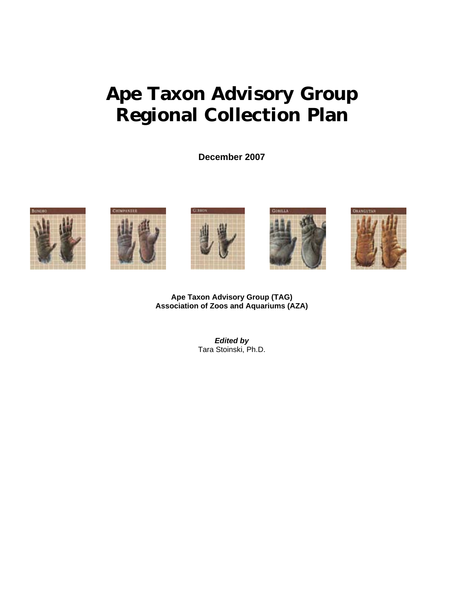# **Ape Taxon Advisory Group Regional Collection Plan**

**December 2007** 



**Ape Taxon Advisory Group (TAG) Association of Zoos and Aquariums (AZA)** 

> *Edited by*  Tara Stoinski, Ph.D.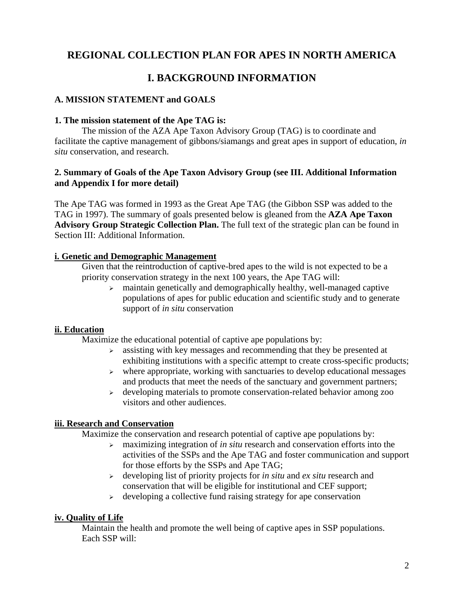# **REGIONAL COLLECTION PLAN FOR APES IN NORTH AMERICA**

# **I. BACKGROUND INFORMATION**

## **A. MISSION STATEMENT and GOALS**

### **1. The mission statement of the Ape TAG is:**

The mission of the AZA Ape Taxon Advisory Group (TAG) is to coordinate and facilitate the captive management of gibbons/siamangs and great apes in support of education, *in situ* conservation, and research.

### **2. Summary of Goals of the Ape Taxon Advisory Group (see III. Additional Information and Appendix I for more detail)**

The Ape TAG was formed in 1993 as the Great Ape TAG (the Gibbon SSP was added to the TAG in 1997). The summary of goals presented below is gleaned from the **AZA Ape Taxon Advisory Group Strategic Collection Plan.** The full text of the strategic plan can be found in Section III: Additional Information.

## **i. Genetic and Demographic Management**

Given that the reintroduction of captive-bred apes to the wild is not expected to be a priority conservation strategy in the next 100 years, the Ape TAG will:

 $\geq$  maintain genetically and demographically healthy, well-managed captive populations of apes for public education and scientific study and to generate support of *in situ* conservation

## **ii. Education**

Maximize the educational potential of captive ape populations by:

- $\geq$  assisting with key messages and recommending that they be presented at exhibiting institutions with a specific attempt to create cross-specific products;
- $\triangleright$  where appropriate, working with sanctuaries to develop educational messages and products that meet the needs of the sanctuary and government partners;
- $\rightarrow$  developing materials to promote conservation-related behavior among zoo visitors and other audiences.

## **iii. Research and Conservation**

Maximize the conservation and research potential of captive ape populations by:

- <sup>¾</sup>maximizing integration of *in situ* research and conservation efforts into the activities of the SSPs and the Ape TAG and foster communication and support for those efforts by the SSPs and Ape TAG;
- <sup>¾</sup>developing list of priority projects for *in situ* and *ex situ* research and conservation that will be eligible for institutional and CEF support;
- $\rightarrow$  developing a collective fund raising strategy for ape conservation

## **iv. Quality of Life**

Maintain the health and promote the well being of captive apes in SSP populations. Each SSP will: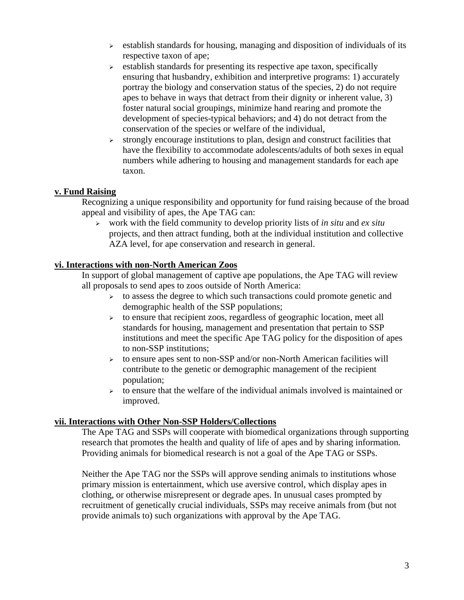- $\geq$  establish standards for housing, managing and disposition of individuals of its respective taxon of ape;
- $\triangleright$  establish standards for presenting its respective ape taxon, specifically ensuring that husbandry, exhibition and interpretive programs: 1) accurately portray the biology and conservation status of the species, 2) do not require apes to behave in ways that detract from their dignity or inherent value, 3) foster natural social groupings, minimize hand rearing and promote the development of species-typical behaviors; and 4) do not detract from the conservation of the species or welfare of the individual,
- $\triangleright$  strongly encourage institutions to plan, design and construct facilities that have the flexibility to accommodate adolescents/adults of both sexes in equal numbers while adhering to housing and management standards for each ape taxon.

## **v. Fund Raising**

Recognizing a unique responsibility and opportunity for fund raising because of the broad appeal and visibility of apes, the Ape TAG can:

<sup>¾</sup>work with the field community to develop priority lists of *in situ* and *ex situ* projects, and then attract funding, both at the individual institution and collective AZA level, for ape conservation and research in general.

### **vi. Interactions with non-North American Zoos**

In support of global management of captive ape populations, the Ape TAG will review all proposals to send apes to zoos outside of North America:

- $\geq$  to assess the degree to which such transactions could promote genetic and demographic health of the SSP populations;
- $\triangleright$  to ensure that recipient zoos, regardless of geographic location, meet all standards for housing, management and presentation that pertain to SSP institutions and meet the specific Ape TAG policy for the disposition of apes to non-SSP institutions;
- $\geq$  to ensure apes sent to non-SSP and/or non-North American facilities will contribute to the genetic or demographic management of the recipient population;
- $\triangleright$  to ensure that the welfare of the individual animals involved is maintained or improved.

### **vii. Interactions with Other Non-SSP Holders/Collections**

The Ape TAG and SSPs will cooperate with biomedical organizations through supporting research that promotes the health and quality of life of apes and by sharing information. Providing animals for biomedical research is not a goal of the Ape TAG or SSPs.

Neither the Ape TAG nor the SSPs will approve sending animals to institutions whose primary mission is entertainment, which use aversive control, which display apes in clothing, or otherwise misrepresent or degrade apes. In unusual cases prompted by recruitment of genetically crucial individuals, SSPs may receive animals from (but not provide animals to) such organizations with approval by the Ape TAG.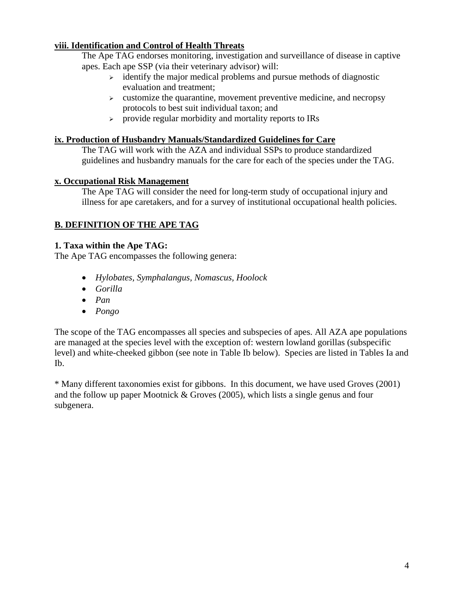# **viii. Identification and Control of Health Threats**

The Ape TAG endorses monitoring, investigation and surveillance of disease in captive apes. Each ape SSP (via their veterinary advisor) will:

- $\rightarrow$  identify the major medical problems and pursue methods of diagnostic evaluation and treatment;
- $\triangleright$  customize the quarantine, movement preventive medicine, and necropsy protocols to best suit individual taxon; and
- $\triangleright$  provide regular morbidity and mortality reports to IRs

# **ix. Production of Husbandry Manuals/Standardized Guidelines for Care**

The TAG will work with the AZA and individual SSPs to produce standardized guidelines and husbandry manuals for the care for each of the species under the TAG.

# **x. Occupational Risk Management**

The Ape TAG will consider the need for long-term study of occupational injury and illness for ape caretakers, and for a survey of institutional occupational health policies.

# **B. DEFINITION OF THE APE TAG**

# **1. Taxa within the Ape TAG:**

The Ape TAG encompasses the following genera:

- *Hylobates, Symphalangus, Nomascus, Hoolock*
- *Gorilla*
- *Pan*
- *Pongo*

The scope of the TAG encompasses all species and subspecies of apes. All AZA ape populations are managed at the species level with the exception of: western lowland gorillas (subspecific level) and white-cheeked gibbon (see note in Table Ib below). Species are listed in Tables Ia and Ib.

\* Many different taxonomies exist for gibbons. In this document, we have used Groves (2001) and the follow up paper Mootnick & Groves (2005), which lists a single genus and four subgenera.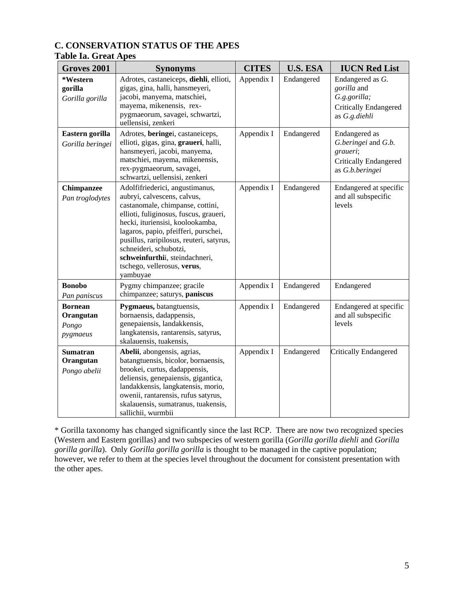# **C. CONSERVATION STATUS OF THE APES**

# **Table Ia. Great Apes**

| Groves 2001                                      | <b>Synonyms</b>                                                                                                                                                                                                                                                                                                                                                             | <b>CITES</b> | <b>U.S. ESA</b> | <b>IUCN Red List</b>                                                                                |
|--------------------------------------------------|-----------------------------------------------------------------------------------------------------------------------------------------------------------------------------------------------------------------------------------------------------------------------------------------------------------------------------------------------------------------------------|--------------|-----------------|-----------------------------------------------------------------------------------------------------|
| *Western<br>gorilla<br>Gorilla gorilla           | Adrotes, castaneiceps, diehli, ellioti,<br>gigas, gina, halli, hansmeyeri,<br>jacobi, manyema, matschiei,<br>mayema, mikenensis, rex-<br>pygmaeorum, savagei, schwartzi,<br>uellensisi, zenkeri                                                                                                                                                                             | Appendix I   | Endangered      | Endangered as G.<br>gorilla and<br>G.g.gorilla;<br><b>Critically Endangered</b><br>as G.g.diehli    |
| Eastern gorilla<br>Gorilla beringei              | Adrotes, beringei, castaneiceps,<br>ellioti, gigas, gina, graueri, halli,<br>hansmeyeri, jacobi, manyema,<br>matschiei, mayema, mikenensis,<br>rex-pygmaeorum, savagei,<br>schwartzi, uellensisi, zenkeri                                                                                                                                                                   | Appendix I   | Endangered      | Endangered as<br>G.beringei and G.b.<br>graueri;<br><b>Critically Endangered</b><br>as G.b.beringei |
| <b>Chimpanzee</b><br>Pan troglodytes             | Adolfifriederici, angustimanus,<br>aubryi, calvescens, calvus,<br>castanomale, chimpanse, cottini,<br>ellioti, fuliginosus, fuscus, graueri,<br>hecki, ituriensisi, koolookamba,<br>lagaros, papio, pfeifferi, purschei,<br>pusillus, raripilosus, reuteri, satyrus,<br>schneideri, schubotzi,<br>schweinfurthii, steindachneri,<br>tschego, vellerosus, verus,<br>yambuyae | Appendix I   | Endangered      | Endangered at specific<br>and all subspecific<br>levels                                             |
| <b>Bonobo</b><br>Pan paniscus                    | Pygmy chimpanzee; gracile<br>chimpanzee; saturys, paniscus                                                                                                                                                                                                                                                                                                                  | Appendix I   | Endangered      | Endangered                                                                                          |
| <b>Bornean</b><br>Orangutan<br>Pongo<br>pygmaeus | Pygmaeus, batangtuensis,<br>bornaensis, dadappensis,<br>genepaiensis, landakkensis,<br>langkatensis, rantarensis, satyrus,<br>skalauensis, tuakensis,                                                                                                                                                                                                                       | Appendix I   | Endangered      | Endangered at specific<br>and all subspecific<br>levels                                             |
| <b>Sumatran</b><br>Orangutan<br>Pongo abelii     | Abelii, abongensis, agrias,<br>batangtuensis, bicolor, bornaensis,<br>brookei, curtus, dadappensis,<br>deliensis, genepaiensis, gigantica,<br>landakkensis, langkatensis, morio,<br>owenii, rantarensis, rufus satyrus,<br>skalauensis, sumatranus, tuakensis,<br>sallichii, wurmbii                                                                                        | Appendix I   | Endangered      | Critically Endangered                                                                               |

\* Gorilla taxonomy has changed significantly since the last RCP. There are now two recognized species (Western and Eastern gorillas) and two subspecies of western gorilla (*Gorilla gorilla diehli* and *Gorilla gorilla gorilla*). Only *Gorilla gorilla gorilla* is thought to be managed in the captive population; however, we refer to them at the species level throughout the document for consistent presentation with the other apes.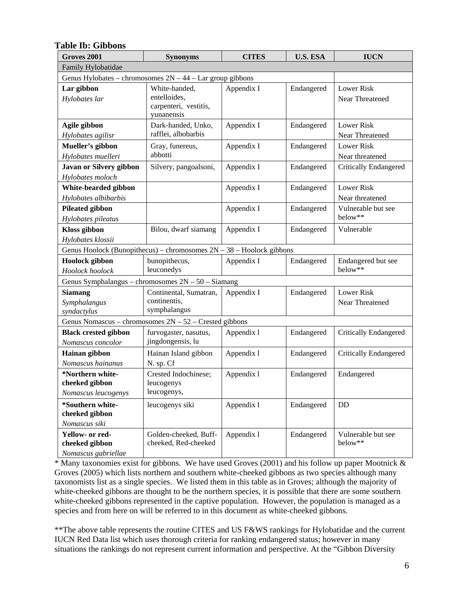| Groves 2001                                                            | <b>Synonyms</b>                                                      | <b>CITES</b> | <b>U.S. ESA</b> | <b>IUCN</b>                          |
|------------------------------------------------------------------------|----------------------------------------------------------------------|--------------|-----------------|--------------------------------------|
| Family Hylobatidae                                                     |                                                                      |              |                 |                                      |
| Genus Hylobates – chromosomes $2N - 44$ – Lar group gibbons            |                                                                      |              |                 |                                      |
| Lar gibbon<br>Hylobates lar                                            | White-handed,<br>entelloides,<br>carpenteri, vestitis,<br>yunanensis | Appendix I   | Endangered      | Lower Risk<br>Near Threatened        |
| Agile gibbon<br>Hylobates agilisr                                      | Dark-handed, Unko,<br>rafflei, albobarbis                            | Appendix I   | Endangered      | <b>Lower Risk</b><br>Near Threatened |
| Mueller's gibbon<br>Hylobates muelleri                                 | Gray, funereus,<br>abbotti                                           | Appendix I   | Endangered      | <b>Lower Risk</b><br>Near threatened |
| Javan or Silvery gibbon<br>Hylobates moloch                            | Silvery, pangoalsoni,                                                | Appendix I   | Endangered      | <b>Critically Endangered</b>         |
| White-bearded gibbon<br>Hylobates albibarbis                           |                                                                      | Appendix I   | Endangered      | <b>Lower Risk</b><br>Near threatened |
| <b>Pileated gibbon</b><br>Hylobates pileatus                           |                                                                      | Appendix I   | Endangered      | Vulnerable but see<br>below**        |
| <b>Kloss</b> gibbon<br>Hylobates klossii                               | Bilou, dwarf siamang                                                 | Appendix I   | Endangered      | Vulnerable                           |
| Genus Hoolock (Bunopithecus) – chromosomes $2N - 38$ – Hoolock gibbons |                                                                      |              |                 |                                      |
| <b>Hoolock</b> gibbon<br>Hoolock hoolock                               | bunopithecus,<br>leuconedys                                          | Appendix I   | Endangered      | Endangered but see<br>below**        |
| Genus Symphalangus - chromosomes 2N - 50 - Siamang                     |                                                                      |              |                 |                                      |
| <b>Siamang</b><br>Symphalangus<br>syndactylus                          | Continental, Sumatran,<br>continentis,<br>symphalangus               | Appendix I   | Endangered      | <b>Lower Risk</b><br>Near Threatened |
| Genus Nomascus - chromosomes $2N - 52$ - Crested gibbons               |                                                                      |              |                 |                                      |
| <b>Black crested gibbon</b><br>Nomascus concolor                       | furvogaster, nasutus,<br>jingdongensis, lu                           | Appendix 1   | Endangered      | <b>Critically Endangered</b>         |
| Hainan gibbon<br>Nomascus hainanus                                     | Hainan Island gibbon<br>N. sp. Cf                                    | Appendix 1   | Endangered      | <b>Critically Endangered</b>         |
| *Northern white-<br>cheeked gibbon<br>Nomascus leucogenys              | Crested Indochinese;<br>leucogenys<br>leucogenys,                    | Appendix 1   | Endangered      | Endangered                           |
| *Southern white-<br>cheeked gibbon<br>Nomascus siki                    | leucogenys siki                                                      | Appendix 1   | Endangered      | DD                                   |
| Yellow- or red-<br>cheeked gibbon<br>Nomascus gabriellae               | Golden-cheeked, Buff-<br>cheeked, Red-cheeked                        | Appendix 1   | Endangered      | Vulnerable but see<br>below**        |

#### **Table Ib: Gibbons**

 $*$  Many taxonomies exist for gibbons. We have used Groves (2001) and his follow up paper Mootnick  $\&$ Groves (2005) which lists northern and southern white-cheeked gibbons as two species although many taxonomists list as a single species. We listed them in this table as in Groves; although the majority of white-cheeked gibbons are thought to be the northern species, it is possible that there are some southern white-cheeked gibbons represented in the captive population. However, the population is managed as a species and from here on will be referred to in this document as white-cheeked gibbons.

\*\*The above table represents the routine CITES and US F&WS rankings for Hylobatidae and the current IUCN Red Data list which uses thorough criteria for ranking endangered status; however in many situations the rankings do not represent current information and perspective. At the "Gibbon Diversity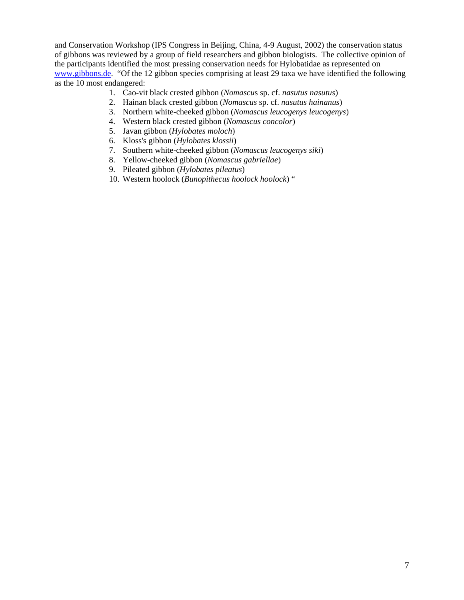and Conservation Workshop (IPS Congress in Beijing, China, 4-9 August, 2002) the conservation status of gibbons was reviewed by a group of field researchers and gibbon biologists. The collective opinion of the participants identified the most pressing conservation needs for Hylobatidae as represented on www.gibbons.de. "Of the 12 gibbon species comprising at least 29 taxa we have identified the following as the 10 most endangered:

- 1. Cao-vit black crested gibbon (*Nomascu*s sp. cf. *nasutus nasutus*)
- 2. Hainan black crested gibbon (*Nomascus* sp. cf. *nasutus hainanus*)
- 3. Northern white-cheeked gibbon (*Nomascus leucogenys leucogenys*)
- 4. Western black crested gibbon (*Nomascus concolor*)
- 5. Javan gibbon (*Hylobates moloch*)
- 6. Kloss's gibbon (*Hylobates klossii*)
- 7. Southern white-cheeked gibbon (*Nomascus leucogenys siki*)
- 8. Yellow-cheeked gibbon (*Nomascus gabriellae*)
- 9. Pileated gibbon (*Hylobates pileatus*)
- 10. Western hoolock (*Bunopithecus hoolock hoolock*) "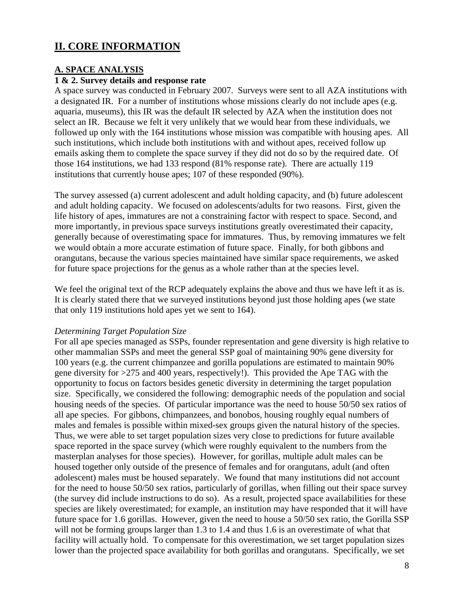# **II. CORE INFORMATION**

### **A. SPACE ANALYSIS**

# **1 & 2. Survey details and response rate**

A space survey was conducted in February 2007. Surveys were sent to all AZA institutions with a designated IR. For a number of institutions whose missions clearly do not include apes (e.g. aquaria, museums), this IR was the default IR selected by AZA when the institution does not select an IR. Because we felt it very unlikely that we would hear from these individuals, we followed up only with the 164 institutions whose mission was compatible with housing apes. All such institutions, which include both institutions with and without apes, received follow up emails asking them to complete the space survey if they did not do so by the required date. Of those 164 institutions, we had 133 respond (81% response rate). There are actually 119 institutions that currently house apes; 107 of these responded (90%).

The survey assessed (a) current adolescent and adult holding capacity, and (b) future adolescent and adult holding capacity. We focused on adolescents/adults for two reasons. First, given the life history of apes, immatures are not a constraining factor with respect to space. Second, and more importantly, in previous space surveys institutions greatly overestimated their capacity, generally because of overestimating space for immatures. Thus, by removing immatures we felt we would obtain a more accurate estimation of future space. Finally, for both gibbons and orangutans, because the various species maintained have similar space requirements, we asked for future space projections for the genus as a whole rather than at the species level.

We feel the original text of the RCP adequately explains the above and thus we have left it as is. It is clearly stated there that we surveyed institutions beyond just those holding apes (we state that only 119 institutions hold apes yet we sent to 164).

#### *Determining Target Population Size*

For all ape species managed as SSPs, founder representation and gene diversity is high relative to other mammalian SSPs and meet the general SSP goal of maintaining 90% gene diversity for 100 years (e.g. the current chimpanzee and gorilla populations are estimated to maintain 90% gene diversity for >275 and 400 years, respectively!). This provided the Ape TAG with the opportunity to focus on factors besides genetic diversity in determining the target population size. Specifically, we considered the following: demographic needs of the population and social housing needs of the species. Of particular importance was the need to house 50/50 sex ratios of all ape species. For gibbons, chimpanzees, and bonobos, housing roughly equal numbers of males and females is possible within mixed-sex groups given the natural history of the species. Thus, we were able to set target population sizes very close to predictions for future available space reported in the space survey (which were roughly equivalent to the numbers from the masterplan analyses for those species). However, for gorillas, multiple adult males can be housed together only outside of the presence of females and for orangutans, adult (and often adolescent) males must be housed separately. We found that many institutions did not account for the need to house 50/50 sex ratios, particularly of gorillas, when filling out their space survey (the survey did include instructions to do so). As a result, projected space availabilities for these species are likely overestimated; for example, an institution may have responded that it will have future space for 1.6 gorillas. However, given the need to house a 50/50 sex ratio, the Gorilla SSP will not be forming groups larger than 1.3 to 1.4 and thus 1.6 is an overestimate of what that facility will actually hold. To compensate for this overestimation, we set target population sizes lower than the projected space availability for both gorillas and orangutans. Specifically, we set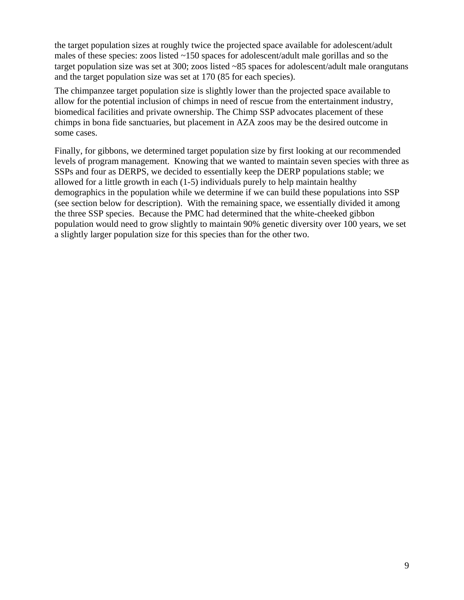the target population sizes at roughly twice the projected space available for adolescent/adult males of these species: zoos listed ~150 spaces for adolescent/adult male gorillas and so the target population size was set at 300; zoos listed ~85 spaces for adolescent/adult male orangutans and the target population size was set at 170 (85 for each species).

The chimpanzee target population size is slightly lower than the projected space available to allow for the potential inclusion of chimps in need of rescue from the entertainment industry, biomedical facilities and private ownership. The Chimp SSP advocates placement of these chimps in bona fide sanctuaries, but placement in AZA zoos may be the desired outcome in some cases.

Finally, for gibbons, we determined target population size by first looking at our recommended levels of program management. Knowing that we wanted to maintain seven species with three as SSPs and four as DERPS, we decided to essentially keep the DERP populations stable; we allowed for a little growth in each (1-5) individuals purely to help maintain healthy demographics in the population while we determine if we can build these populations into SSP (see section below for description). With the remaining space, we essentially divided it among the three SSP species. Because the PMC had determined that the white-cheeked gibbon population would need to grow slightly to maintain 90% genetic diversity over 100 years, we set a slightly larger population size for this species than for the other two.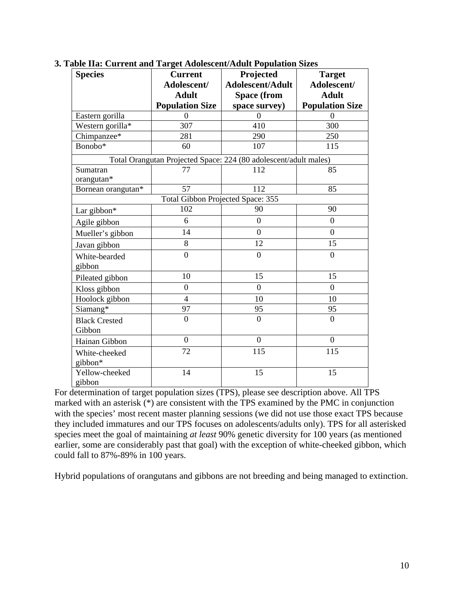| <b>Species</b>       | <b>Current</b>                    | Projected                                                        | <b>Target</b>          |
|----------------------|-----------------------------------|------------------------------------------------------------------|------------------------|
|                      | Adolescent/                       | <b>Adolescent/Adult</b>                                          | Adolescent/            |
|                      | <b>Adult</b>                      | <b>Space (from</b>                                               | <b>Adult</b>           |
|                      | <b>Population Size</b>            | space survey)                                                    | <b>Population Size</b> |
| Eastern gorilla      | $\Omega$                          | $\overline{0}$                                                   | $\Omega$               |
| Western gorilla*     | 307                               | 410                                                              | 300                    |
| Chimpanzee*          | 281                               | 290                                                              | 250                    |
| Bonobo*              | 60                                | 107                                                              | 115                    |
|                      |                                   | Total Orangutan Projected Space: 224 (80 adolescent/adult males) |                        |
| Sumatran             | 77                                | 112                                                              | 85                     |
| orangutan*           |                                   |                                                                  |                        |
| Bornean orangutan*   | 57                                | 112                                                              | 85                     |
|                      | Total Gibbon Projected Space: 355 |                                                                  |                        |
| Lar gibbon*          | 102                               | 90                                                               | 90                     |
| Agile gibbon         | 6                                 | $\boldsymbol{0}$                                                 | $\boldsymbol{0}$       |
| Mueller's gibbon     | 14                                | $\overline{0}$                                                   | $\overline{0}$         |
| Javan gibbon         | 8                                 | 12                                                               | 15                     |
| White-bearded        | $\overline{0}$                    | $\overline{0}$                                                   | $\overline{0}$         |
| gibbon               |                                   |                                                                  |                        |
| Pileated gibbon      | 10                                | 15                                                               | 15                     |
| Kloss gibbon         | $\boldsymbol{0}$                  | $\boldsymbol{0}$                                                 | $\overline{0}$         |
| Hoolock gibbon       | $\overline{4}$                    | 10                                                               | 10                     |
| Siamang*             | 97                                | 95                                                               | 95                     |
| <b>Black Crested</b> | $\overline{0}$                    | $\overline{0}$                                                   | $\overline{0}$         |
| Gibbon               |                                   |                                                                  |                        |
| Hainan Gibbon        | $\mathbf{0}$                      | $\boldsymbol{0}$                                                 | $\overline{0}$         |
| White-cheeked        | 72                                | 115                                                              | 115                    |
| gibbon*              |                                   |                                                                  |                        |
| Yellow-cheeked       | 14                                | 15                                                               | 15                     |
| gibbon               |                                   |                                                                  |                        |

**3. Table IIa: Current and Target Adolescent/Adult Population Sizes** 

For determination of target population sizes (TPS), please see description above. All TPS marked with an asterisk (\*) are consistent with the TPS examined by the PMC in conjunction with the species' most recent master planning sessions (we did not use those exact TPS because they included immatures and our TPS focuses on adolescents/adults only). TPS for all asterisked species meet the goal of maintaining *at least* 90% genetic diversity for 100 years (as mentioned earlier, some are considerably past that goal) with the exception of white-cheeked gibbon, which could fall to 87%-89% in 100 years.

Hybrid populations of orangutans and gibbons are not breeding and being managed to extinction.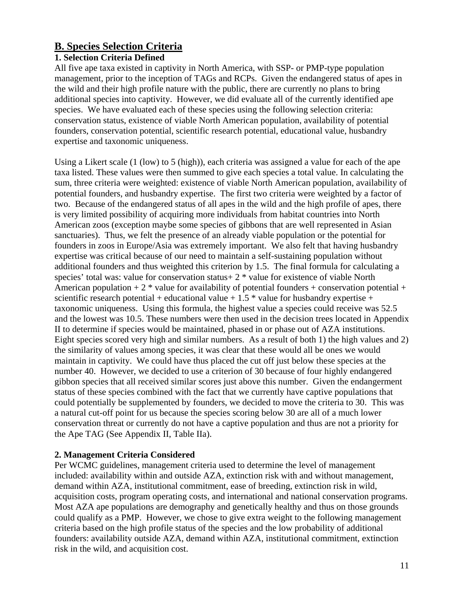# **B. Species Selection Criteria**

# **1. Selection Criteria Defined**

All five ape taxa existed in captivity in North America, with SSP- or PMP-type population management, prior to the inception of TAGs and RCPs. Given the endangered status of apes in the wild and their high profile nature with the public, there are currently no plans to bring additional species into captivity. However, we did evaluate all of the currently identified ape species. We have evaluated each of these species using the following selection criteria: conservation status, existence of viable North American population, availability of potential founders, conservation potential, scientific research potential, educational value, husbandry expertise and taxonomic uniqueness.

Using a Likert scale (1 (low) to 5 (high)), each criteria was assigned a value for each of the ape taxa listed. These values were then summed to give each species a total value. In calculating the sum, three criteria were weighted: existence of viable North American population, availability of potential founders, and husbandry expertise. The first two criteria were weighted by a factor of two. Because of the endangered status of all apes in the wild and the high profile of apes, there is very limited possibility of acquiring more individuals from habitat countries into North American zoos (exception maybe some species of gibbons that are well represented in Asian sanctuaries). Thus, we felt the presence of an already viable population or the potential for founders in zoos in Europe/Asia was extremely important. We also felt that having husbandry expertise was critical because of our need to maintain a self-sustaining population without additional founders and thus weighted this criterion by 1.5. The final formula for calculating a species' total was: value for conservation status+ 2 \* value for existence of viable North American population  $+ 2 *$  value for availability of potential founders  $+$  conservation potential  $+$ scientific research potential + educational value +  $1.5$  \* value for husbandry expertise + taxonomic uniqueness. Using this formula, the highest value a species could receive was 52.5 and the lowest was 10.5. These numbers were then used in the decision trees located in Appendix II to determine if species would be maintained, phased in or phase out of AZA institutions. Eight species scored very high and similar numbers. As a result of both 1) the high values and 2) the similarity of values among species, it was clear that these would all be ones we would maintain in captivity. We could have thus placed the cut off just below these species at the number 40. However, we decided to use a criterion of 30 because of four highly endangered gibbon species that all received similar scores just above this number. Given the endangerment status of these species combined with the fact that we currently have captive populations that could potentially be supplemented by founders, we decided to move the criteria to 30. This was a natural cut-off point for us because the species scoring below 30 are all of a much lower conservation threat or currently do not have a captive population and thus are not a priority for the Ape TAG (See Appendix II, Table IIa).

# **2. Management Criteria Considered**

Per WCMC guidelines, management criteria used to determine the level of management included: availability within and outside AZA, extinction risk with and without management, demand within AZA, institutional commitment, ease of breeding, extinction risk in wild, acquisition costs, program operating costs, and international and national conservation programs. Most AZA ape populations are demography and genetically healthy and thus on those grounds could qualify as a PMP. However, we chose to give extra weight to the following management criteria based on the high profile status of the species and the low probability of additional founders: availability outside AZA, demand within AZA, institutional commitment, extinction risk in the wild, and acquisition cost.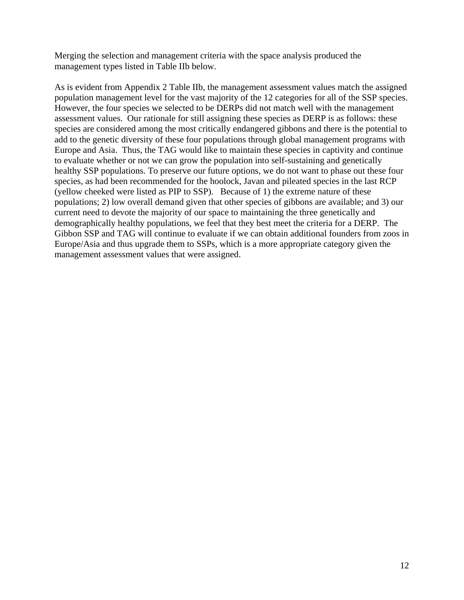Merging the selection and management criteria with the space analysis produced the management types listed in Table IIb below.

As is evident from Appendix 2 Table IIb, the management assessment values match the assigned population management level for the vast majority of the 12 categories for all of the SSP species. However, the four species we selected to be DERPs did not match well with the management assessment values. Our rationale for still assigning these species as DERP is as follows: these species are considered among the most critically endangered gibbons and there is the potential to add to the genetic diversity of these four populations through global management programs with Europe and Asia. Thus, the TAG would like to maintain these species in captivity and continue to evaluate whether or not we can grow the population into self-sustaining and genetically healthy SSP populations. To preserve our future options, we do not want to phase out these four species, as had been recommended for the hoolock, Javan and pileated species in the last RCP (yellow cheeked were listed as PIP to SSP). Because of 1) the extreme nature of these populations; 2) low overall demand given that other species of gibbons are available; and 3) our current need to devote the majority of our space to maintaining the three genetically and demographically healthy populations, we feel that they best meet the criteria for a DERP. The Gibbon SSP and TAG will continue to evaluate if we can obtain additional founders from zoos in Europe/Asia and thus upgrade them to SSPs, which is a more appropriate category given the management assessment values that were assigned.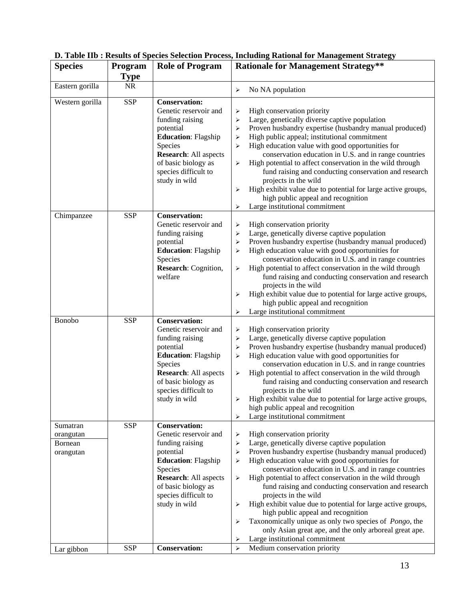| <b>Species</b>                                | Program     | <b>Role of Program</b>                                                                                                                                                                                                 |                                                          | <b>Rationale for Management Strategy**</b>                                                                                                                                                                                                                                                                                                                                                                                                                                                                                                                                                                                                                           |
|-----------------------------------------------|-------------|------------------------------------------------------------------------------------------------------------------------------------------------------------------------------------------------------------------------|----------------------------------------------------------|----------------------------------------------------------------------------------------------------------------------------------------------------------------------------------------------------------------------------------------------------------------------------------------------------------------------------------------------------------------------------------------------------------------------------------------------------------------------------------------------------------------------------------------------------------------------------------------------------------------------------------------------------------------------|
|                                               | <b>Type</b> |                                                                                                                                                                                                                        |                                                          |                                                                                                                                                                                                                                                                                                                                                                                                                                                                                                                                                                                                                                                                      |
| Eastern gorilla                               | $\rm NR$    |                                                                                                                                                                                                                        | ≻                                                        | No NA population                                                                                                                                                                                                                                                                                                                                                                                                                                                                                                                                                                                                                                                     |
| Western gorilla                               | <b>SSP</b>  | <b>Conservation:</b><br>Genetic reservoir and<br>funding raising<br>potential<br><b>Education: Flagship</b><br>Species<br><b>Research: All aspects</b><br>of basic biology as<br>species difficult to<br>study in wild | ≻<br>⋗<br>⋗<br>⋗<br>$\blacktriangleright$<br>⋗<br>⋗<br>⋗ | High conservation priority<br>Large, genetically diverse captive population<br>Proven husbandry expertise (husbandry manual produced)<br>High public appeal; institutional commitment<br>High education value with good opportunities for<br>conservation education in U.S. and in range countries<br>High potential to affect conservation in the wild through<br>fund raising and conducting conservation and research<br>projects in the wild<br>High exhibit value due to potential for large active groups,<br>high public appeal and recognition<br>Large institutional commitment                                                                             |
| Chimpanzee                                    | <b>SSP</b>  | <b>Conservation:</b><br>Genetic reservoir and<br>funding raising<br>potential<br><b>Education: Flagship</b><br>Species<br>Research: Cognition,<br>welfare                                                              | ≻<br>➤<br>≻<br>⋗<br>⋗<br>⋗<br>⋗                          | High conservation priority<br>Large, genetically diverse captive population<br>Proven husbandry expertise (husbandry manual produced)<br>High education value with good opportunities for<br>conservation education in U.S. and in range countries<br>High potential to affect conservation in the wild through<br>fund raising and conducting conservation and research<br>projects in the wild<br>High exhibit value due to potential for large active groups,<br>high public appeal and recognition<br>Large institutional commitment                                                                                                                             |
| <b>Bonobo</b>                                 | <b>SSP</b>  | <b>Conservation:</b><br>Genetic reservoir and<br>funding raising<br>potential<br><b>Education: Flagship</b><br>Species<br><b>Research: All aspects</b><br>of basic biology as<br>species difficult to<br>study in wild | ➤<br>⋗<br>⋗<br>⋗<br>⋗<br>⋗<br>$\blacktriangleright$      | High conservation priority<br>Large, genetically diverse captive population<br>Proven husbandry expertise (husbandry manual produced)<br>High education value with good opportunities for<br>conservation education in U.S. and in range countries<br>High potential to affect conservation in the wild through<br>fund raising and conducting conservation and research<br>projects in the wild<br>High exhibit value due to potential for large active groups,<br>high public appeal and recognition<br>Large institutional commitment                                                                                                                             |
| Sumatran<br>orangutan<br>Bornean<br>orangutan | <b>SSP</b>  | <b>Conservation:</b><br>Genetic reservoir and<br>funding raising<br>potential<br><b>Education: Flagship</b><br>Species<br><b>Research: All aspects</b><br>of basic biology as<br>species difficult to<br>study in wild | ➤<br>➤<br>⋗<br>➤<br>≯<br>≯<br>⋗<br>➤                     | High conservation priority<br>Large, genetically diverse captive population<br>Proven husbandry expertise (husbandry manual produced)<br>High education value with good opportunities for<br>conservation education in U.S. and in range countries<br>High potential to affect conservation in the wild through<br>fund raising and conducting conservation and research<br>projects in the wild<br>High exhibit value due to potential for large active groups,<br>high public appeal and recognition<br>Taxonomically unique as only two species of <i>Pongo</i> , the<br>only Asian great ape, and the only arboreal great ape.<br>Large institutional commitment |
| Lar gibbon                                    | <b>SSP</b>  | <b>Conservation:</b>                                                                                                                                                                                                   | $\blacktriangleright$                                    | Medium conservation priority                                                                                                                                                                                                                                                                                                                                                                                                                                                                                                                                                                                                                                         |

# **D. Table IIb : Results of Species Selection Process, Including Rational for Management Strategy**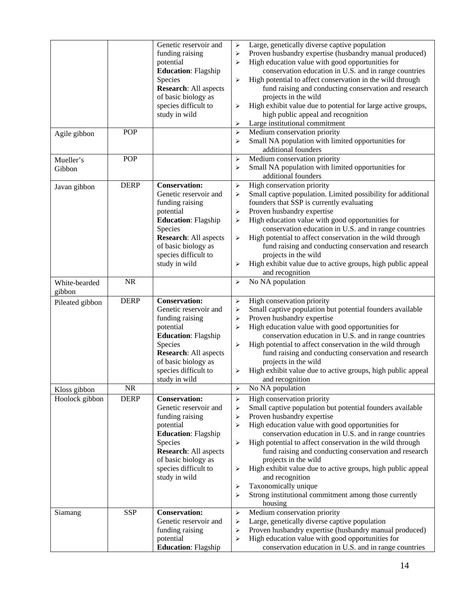|                 |             | Genetic reservoir and                   |                       | Large, genetically diverse captive population                                                             |
|-----------------|-------------|-----------------------------------------|-----------------------|-----------------------------------------------------------------------------------------------------------|
|                 |             |                                         | $\blacktriangleright$ | Proven husbandry expertise (husbandry manual produced)                                                    |
|                 |             | funding raising                         | ≻                     |                                                                                                           |
|                 |             | potential                               | ⋗                     | High education value with good opportunities for                                                          |
|                 |             | <b>Education: Flagship</b>              |                       | conservation education in U.S. and in range countries                                                     |
|                 |             | Species                                 | ⋗                     | High potential to affect conservation in the wild through                                                 |
|                 |             | <b>Research: All aspects</b>            |                       | fund raising and conducting conservation and research                                                     |
|                 |             | of basic biology as                     |                       | projects in the wild                                                                                      |
|                 |             | species difficult to                    | ≻                     | High exhibit value due to potential for large active groups,                                              |
|                 |             | study in wild                           |                       | high public appeal and recognition                                                                        |
|                 |             |                                         | ≻                     | Large institutional commitment                                                                            |
| Agile gibbon    | <b>POP</b>  |                                         | $\blacktriangleright$ | Medium conservation priority                                                                              |
|                 |             |                                         | ⋗                     | Small NA population with limited opportunities for                                                        |
|                 |             |                                         |                       | additional founders                                                                                       |
| Mueller's       | <b>POP</b>  |                                         | ➤                     | Medium conservation priority                                                                              |
| Gibbon          |             |                                         | ⋗                     | Small NA population with limited opportunities for                                                        |
|                 |             |                                         |                       | additional founders                                                                                       |
| Javan gibbon    | <b>DERP</b> | <b>Conservation:</b>                    | ➤                     | High conservation priority                                                                                |
|                 |             | Genetic reservoir and                   | ➤                     | Small captive population. Limited possibility for additional                                              |
|                 |             | funding raising                         |                       | founders that SSP is currently evaluating                                                                 |
|                 |             | potential                               | ➤                     | Proven husbandry expertise                                                                                |
|                 |             | <b>Education: Flagship</b>              | ➤                     | High education value with good opportunities for                                                          |
|                 |             | Species                                 |                       | conservation education in U.S. and in range countries                                                     |
|                 |             | <b>Research: All aspects</b>            | ≻                     | High potential to affect conservation in the wild through                                                 |
|                 |             | of basic biology as                     |                       | fund raising and conducting conservation and research                                                     |
|                 |             |                                         |                       |                                                                                                           |
|                 |             | species difficult to                    |                       | projects in the wild                                                                                      |
|                 |             | study in wild                           | ⋗                     | High exhibit value due to active groups, high public appeal                                               |
|                 |             |                                         |                       | and recognition                                                                                           |
| White-bearded   | <b>NR</b>   |                                         | ➤                     | No NA population                                                                                          |
| gibbon          |             |                                         |                       |                                                                                                           |
| Pileated gibbon | <b>DERP</b> | <b>Conservation:</b>                    | ➤                     | High conservation priority                                                                                |
|                 |             | Genetic reservoir and                   | ≻                     | Small captive population but potential founders available                                                 |
|                 |             | funding raising                         | ≻                     | Proven husbandry expertise                                                                                |
|                 |             | potential                               | ⋗                     | High education value with good opportunities for                                                          |
|                 |             | <b>Education: Flagship</b>              |                       | conservation education in U.S. and in range countries                                                     |
|                 |             | Species                                 | ➤                     | High potential to affect conservation in the wild through                                                 |
|                 |             | <b>Research: All aspects</b>            |                       | fund raising and conducting conservation and research                                                     |
|                 |             | of basic biology as                     |                       | projects in the wild                                                                                      |
|                 |             | species difficult to                    | ➤                     | High exhibit value due to active groups, high public appeal                                               |
|                 |             | study in wild                           |                       | and recognition                                                                                           |
| Kloss gibbon    | <b>NR</b>   |                                         | ➤                     | No NA population                                                                                          |
| Hoolock gibbon  |             |                                         |                       |                                                                                                           |
|                 |             |                                         |                       |                                                                                                           |
|                 | <b>DERP</b> | <b>Conservation:</b>                    | $\blacktriangleright$ | High conservation priority                                                                                |
|                 |             | Genetic reservoir and                   | ➤                     | Small captive population but potential founders available                                                 |
|                 |             | funding raising                         | ≻                     | Proven husbandry expertise                                                                                |
|                 |             | potential                               | ⋗                     | High education value with good opportunities for                                                          |
|                 |             | <b>Education: Flagship</b>              |                       | conservation education in U.S. and in range countries                                                     |
|                 |             | Species                                 | ➤                     | High potential to affect conservation in the wild through                                                 |
|                 |             | <b>Research: All aspects</b>            |                       | fund raising and conducting conservation and research                                                     |
|                 |             | of basic biology as                     |                       | projects in the wild                                                                                      |
|                 |             | species difficult to                    | ≻                     | High exhibit value due to active groups, high public appeal                                               |
|                 |             | study in wild                           |                       | and recognition                                                                                           |
|                 |             |                                         | ➤                     | Taxonomically unique                                                                                      |
|                 |             |                                         | ⋗                     | Strong institutional commitment among those currently                                                     |
|                 |             |                                         |                       | housing                                                                                                   |
| Siamang         | <b>SSP</b>  | <b>Conservation:</b>                    | ➤                     | Medium conservation priority                                                                              |
|                 |             | Genetic reservoir and                   | ➤                     | Large, genetically diverse captive population                                                             |
|                 |             | funding raising                         | ≻                     | Proven husbandry expertise (husbandry manual produced)                                                    |
|                 |             | potential<br><b>Education: Flagship</b> | ≻                     | High education value with good opportunities for<br>conservation education in U.S. and in range countries |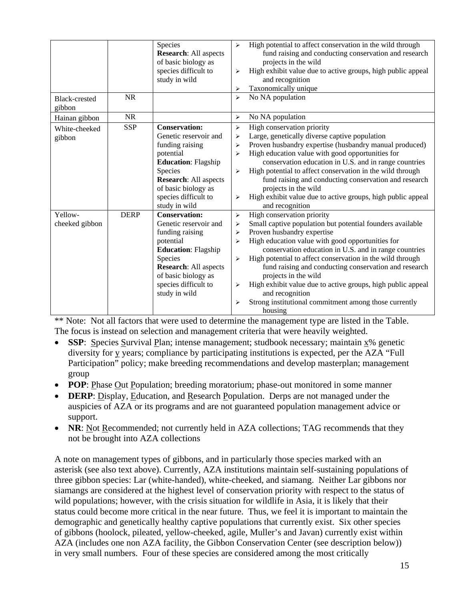|                           |             | Species<br><b>Research:</b> All aspects<br>of basic biology as<br>species difficult to<br>study in wild                                                                                                                | $\blacktriangleright$<br>➤<br>➤                     | High potential to affect conservation in the wild through<br>fund raising and conducting conservation and research<br>projects in the wild<br>High exhibit value due to active groups, high public appeal<br>and recognition<br>Taxonomically unique                                                                                                                                                                                                                                                                                   |
|---------------------------|-------------|------------------------------------------------------------------------------------------------------------------------------------------------------------------------------------------------------------------------|-----------------------------------------------------|----------------------------------------------------------------------------------------------------------------------------------------------------------------------------------------------------------------------------------------------------------------------------------------------------------------------------------------------------------------------------------------------------------------------------------------------------------------------------------------------------------------------------------------|
| Black-crested<br>gibbon   | <b>NR</b>   |                                                                                                                                                                                                                        | $\blacktriangleright$                               | No NA population                                                                                                                                                                                                                                                                                                                                                                                                                                                                                                                       |
| Hainan gibbon             | <b>NR</b>   |                                                                                                                                                                                                                        | $\blacktriangleright$                               | No NA population                                                                                                                                                                                                                                                                                                                                                                                                                                                                                                                       |
| White-cheeked<br>gibbon   | <b>SSP</b>  | <b>Conservation:</b><br>Genetic reservoir and<br>funding raising<br>potential<br><b>Education: Flagship</b><br>Species<br><b>Research: All aspects</b><br>of basic biology as<br>species difficult to<br>study in wild | $\blacktriangleright$<br>➤<br>➤<br>⋗<br>➤<br>➤      | High conservation priority<br>Large, genetically diverse captive population<br>Proven husbandry expertise (husbandry manual produced)<br>High education value with good opportunities for<br>conservation education in U.S. and in range countries<br>High potential to affect conservation in the wild through<br>fund raising and conducting conservation and research<br>projects in the wild<br>High exhibit value due to active groups, high public appeal<br>and recognition                                                     |
| Yellow-<br>cheeked gibbon | <b>DERP</b> | <b>Conservation:</b><br>Genetic reservoir and<br>funding raising<br>potential<br><b>Education: Flagship</b><br>Species<br><b>Research: All aspects</b><br>of basic biology as<br>species difficult to<br>study in wild | $\blacktriangleright$<br>➤<br>➤<br>⋗<br>➤<br>➤<br>⋗ | High conservation priority<br>Small captive population but potential founders available<br>Proven husbandry expertise<br>High education value with good opportunities for<br>conservation education in U.S. and in range countries<br>High potential to affect conservation in the wild through<br>fund raising and conducting conservation and research<br>projects in the wild<br>High exhibit value due to active groups, high public appeal<br>and recognition<br>Strong institutional commitment among those currently<br>housing |

\*\* Note: Not all factors that were used to determine the management type are listed in the Table. The focus is instead on selection and management criteria that were heavily weighted.

- **SSP**: Species Survival Plan; intense management; studbook necessary; maintain x% genetic diversity for y years; compliance by participating institutions is expected, per the AZA "Full Participation" policy; make breeding recommendations and develop masterplan; management group
- **POP**: Phase Out Population; breeding moratorium; phase-out monitored in some manner
- **DERP**: Display, Education, and Research Population. Derps are not managed under the auspicies of AZA or its programs and are not guaranteed population management advice or support.
- **NR**: Not Recommended; not currently held in AZA collections; TAG recommends that they not be brought into AZA collections

A note on management types of gibbons, and in particularly those species marked with an asterisk (see also text above). Currently, AZA institutions maintain self-sustaining populations of three gibbon species: Lar (white-handed), white-cheeked, and siamang. Neither Lar gibbons nor siamangs are considered at the highest level of conservation priority with respect to the status of wild populations; however, with the crisis situation for wildlife in Asia, it is likely that their status could become more critical in the near future. Thus, we feel it is important to maintain the demographic and genetically healthy captive populations that currently exist. Six other species of gibbons (hoolock, pileated, yellow-cheeked, agile, Muller's and Javan) currently exist within AZA (includes one non AZA facility, the Gibbon Conservation Center (see description below)) in very small numbers. Four of these species are considered among the most critically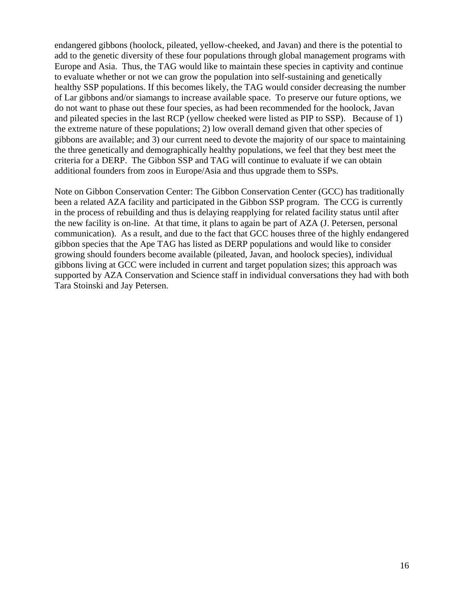endangered gibbons (hoolock, pileated, yellow-cheeked, and Javan) and there is the potential to add to the genetic diversity of these four populations through global management programs with Europe and Asia. Thus, the TAG would like to maintain these species in captivity and continue to evaluate whether or not we can grow the population into self-sustaining and genetically healthy SSP populations. If this becomes likely, the TAG would consider decreasing the number of Lar gibbons and/or siamangs to increase available space. To preserve our future options, we do not want to phase out these four species, as had been recommended for the hoolock, Javan and pileated species in the last RCP (yellow cheeked were listed as PIP to SSP). Because of 1) the extreme nature of these populations; 2) low overall demand given that other species of gibbons are available; and 3) our current need to devote the majority of our space to maintaining the three genetically and demographically healthy populations, we feel that they best meet the criteria for a DERP. The Gibbon SSP and TAG will continue to evaluate if we can obtain additional founders from zoos in Europe/Asia and thus upgrade them to SSPs.

Note on Gibbon Conservation Center: The Gibbon Conservation Center (GCC) has traditionally been a related AZA facility and participated in the Gibbon SSP program. The CCG is currently in the process of rebuilding and thus is delaying reapplying for related facility status until after the new facility is on-line. At that time, it plans to again be part of AZA (J. Petersen, personal communication). As a result, and due to the fact that GCC houses three of the highly endangered gibbon species that the Ape TAG has listed as DERP populations and would like to consider growing should founders become available (pileated, Javan, and hoolock species), individual gibbons living at GCC were included in current and target population sizes; this approach was supported by AZA Conservation and Science staff in individual conversations they had with both Tara Stoinski and Jay Petersen.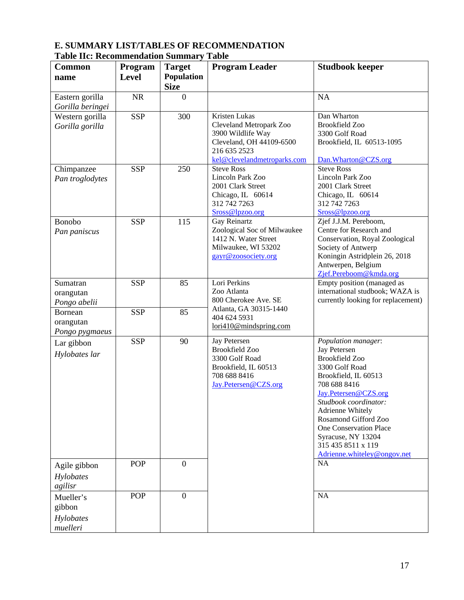| гаэк не: кесоншенаанын эанний у<br><b>Common</b> | Program      | <b>Target</b>    | Tunic<br><b>Program Leader</b>         | <b>Studbook keeper</b>                   |
|--------------------------------------------------|--------------|------------------|----------------------------------------|------------------------------------------|
| name                                             | <b>Level</b> | Population       |                                        |                                          |
|                                                  |              | <b>Size</b>      |                                        |                                          |
| Eastern gorilla                                  | <b>NR</b>    | $\overline{0}$   |                                        | <b>NA</b>                                |
|                                                  |              |                  |                                        |                                          |
| Gorilla beringei                                 | <b>SSP</b>   | 300              | Kristen Lukas                          | Dan Wharton                              |
| Western gorilla                                  |              |                  | Cleveland Metropark Zoo                | <b>Brookfield Zoo</b>                    |
| Gorilla gorilla                                  |              |                  | 3900 Wildlife Way                      | 3300 Golf Road                           |
|                                                  |              |                  | Cleveland, OH 44109-6500               | Brookfield, IL 60513-1095                |
|                                                  |              |                  | 216 635 2523                           |                                          |
|                                                  |              |                  | kel@clevelandmetroparks.com            | Dan. Wharton @CZS.org                    |
| Chimpanzee                                       | <b>SSP</b>   | 250              | <b>Steve Ross</b>                      | <b>Steve Ross</b>                        |
| Pan troglodytes                                  |              |                  | Lincoln Park Zoo                       | Lincoln Park Zoo                         |
|                                                  |              |                  | 2001 Clark Street                      | 2001 Clark Street                        |
|                                                  |              |                  | Chicago, IL 60614                      | Chicago, IL 60614                        |
|                                                  |              |                  | 312 742 7263                           | 312 742 7263                             |
|                                                  |              | 115              | Sross@lpzoo.org<br>Gay Reinartz        | Sross@lpzoo.org<br>Zjef J.J.M. Pereboom, |
| Bonobo                                           | <b>SSP</b>   |                  | Zoological Soc of Milwaukee            | Centre for Research and                  |
| Pan paniscus                                     |              |                  | 1412 N. Water Street                   | Conservation, Royal Zoological           |
|                                                  |              |                  | Milwaukee, WI 53202                    | Society of Antwerp                       |
|                                                  |              |                  | gayr@zoosociety.org                    | Koningin Astridplein 26, 2018            |
|                                                  |              |                  |                                        | Antwerpen, Belgium                       |
|                                                  |              |                  |                                        | Zjef.Pereboom@kmda.org                   |
| Sumatran                                         | <b>SSP</b>   | 85               | Lori Perkins                           | Empty position (managed as               |
| orangutan                                        |              |                  | Zoo Atlanta                            | international studbook; WAZA is          |
| Pongo abelii                                     |              |                  | 800 Cherokee Ave. SE                   | currently looking for replacement)       |
| Bornean                                          | <b>SSP</b>   | 85               | Atlanta, GA 30315-1440                 |                                          |
| orangutan                                        |              |                  | 404 624 5931<br>lori410@mindspring.com |                                          |
| Pongo pygmaeus                                   |              |                  |                                        |                                          |
| Lar gibbon                                       | <b>SSP</b>   | 90               | <b>Jay Petersen</b>                    | Population manager:                      |
| Hylobates lar                                    |              |                  | <b>Brookfield Zoo</b>                  | Jay Petersen                             |
|                                                  |              |                  | 3300 Golf Road                         | <b>Brookfield Zoo</b>                    |
|                                                  |              |                  | Brookfield, IL 60513                   | 3300 Golf Road                           |
|                                                  |              |                  | 708 688 8416<br>Jay.Petersen@CZS.org   | Brookfield, IL 60513<br>708 688 8416     |
|                                                  |              |                  |                                        | Jay.Petersen@CZS.org                     |
|                                                  |              |                  |                                        | Studbook coordinator:                    |
|                                                  |              |                  |                                        | Adrienne Whitely                         |
|                                                  |              |                  |                                        | Rosamond Gifford Zoo                     |
|                                                  |              |                  |                                        | <b>One Conservation Place</b>            |
|                                                  |              |                  |                                        | Syracuse, NY 13204                       |
|                                                  |              |                  |                                        | 315 435 8511 x 119                       |
|                                                  |              |                  |                                        | Adrienne.whiteley@ongov.net              |
| Agile gibbon                                     | <b>POP</b>   | $\boldsymbol{0}$ |                                        | <b>NA</b>                                |
| Hylobates                                        |              |                  |                                        |                                          |
| agilisr                                          |              |                  |                                        |                                          |
| Mueller's                                        | POP          | $\boldsymbol{0}$ |                                        | <b>NA</b>                                |
| gibbon                                           |              |                  |                                        |                                          |
| Hylobates                                        |              |                  |                                        |                                          |
| muelleri                                         |              |                  |                                        |                                          |

### **E. SUMMARY LIST/TABLES OF RECOMMENDATION Table IIc: Recommendation Summary Table**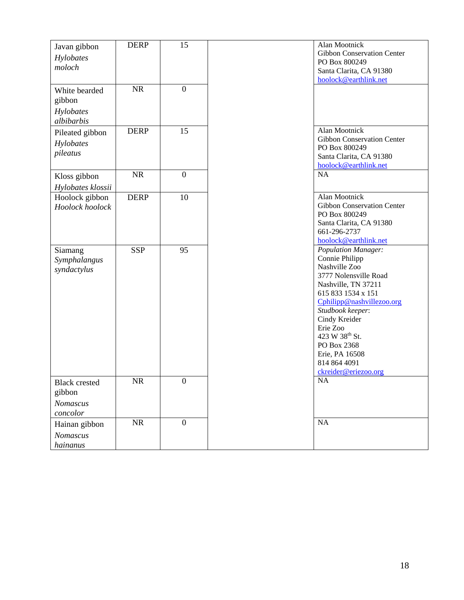| Javan gibbon<br>Hylobates<br>moloch               | <b>DERP</b> | 15               | Alan Mootnick<br><b>Gibbon Conservation Center</b><br>PO Box 800249                                                                                                                                                                                                                                                      |
|---------------------------------------------------|-------------|------------------|--------------------------------------------------------------------------------------------------------------------------------------------------------------------------------------------------------------------------------------------------------------------------------------------------------------------------|
|                                                   |             |                  | Santa Clarita, CA 91380<br>hoolock@earthlink.net                                                                                                                                                                                                                                                                         |
| White bearded<br>gibbon<br>Hylobates              | <b>NR</b>   | $\boldsymbol{0}$ |                                                                                                                                                                                                                                                                                                                          |
| albibarbis                                        |             |                  |                                                                                                                                                                                                                                                                                                                          |
| Pileated gibbon<br>Hylobates<br>pileatus          | <b>DERP</b> | 15               | Alan Mootnick<br>Gibbon Conservation Center<br>PO Box 800249<br>Santa Clarita, CA 91380<br>hoolock@earthlink.net                                                                                                                                                                                                         |
| Kloss gibbon                                      | <b>NR</b>   | $\boldsymbol{0}$ | <b>NA</b>                                                                                                                                                                                                                                                                                                                |
| Hylobates klossii                                 |             |                  |                                                                                                                                                                                                                                                                                                                          |
| Hoolock gibbon<br>Hoolock hoolock                 | <b>DERP</b> | 10               | Alan Mootnick<br>Gibbon Conservation Center<br>PO Box 800249<br>Santa Clarita, CA 91380<br>661-296-2737<br>hoolock@earthlink.net                                                                                                                                                                                         |
| Siamang<br>Symphalangus<br>syndactylus            | <b>SSP</b>  | 95               | <b>Population Manager:</b><br>Connie Philipp<br>Nashville Zoo<br>3777 Nolensville Road<br>Nashville, TN 37211<br>615 833 1534 x 151<br>Cphilipp@nashvillezoo.org<br>Studbook keeper:<br>Cindy Kreider<br>Erie Zoo<br>423 W 38 <sup>th</sup> St.<br>PO Box 2368<br>Erie, PA 16508<br>814 864 4091<br>ckreider@eriezoo.org |
| <b>Black</b> crested<br>gibbon<br>Nomascus        | NR          | $\boldsymbol{0}$ | NA                                                                                                                                                                                                                                                                                                                       |
| concolor<br>Hainan gibbon<br>Nomascus<br>hainanus | NR          | $\boldsymbol{0}$ | <b>NA</b>                                                                                                                                                                                                                                                                                                                |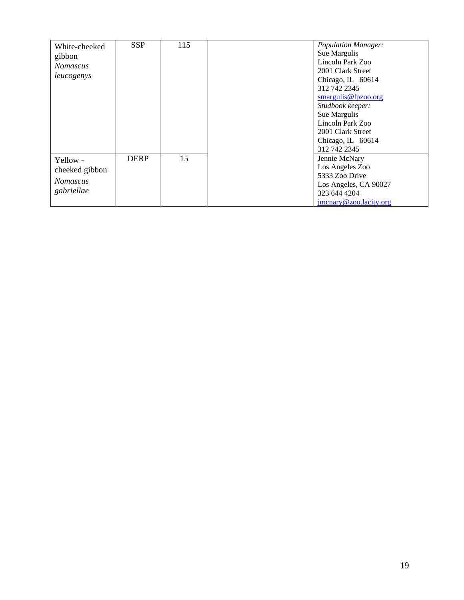| White-cheeked   | <b>SSP</b>  | 115 | <b>Population Manager:</b><br>Sue Margulis |
|-----------------|-------------|-----|--------------------------------------------|
| gibbon          |             |     | Lincoln Park Zoo                           |
| <b>Nomascus</b> |             |     | 2001 Clark Street                          |
| leucogenys      |             |     |                                            |
|                 |             |     | Chicago, IL 60614                          |
|                 |             |     | 312 742 2345                               |
|                 |             |     | smargulis@lpzoo.org                        |
|                 |             |     | Studbook keeper:                           |
|                 |             |     | Sue Margulis                               |
|                 |             |     | Lincoln Park Zoo                           |
|                 |             |     | 2001 Clark Street                          |
|                 |             |     | Chicago, IL 60614                          |
|                 |             |     | 312 742 2345                               |
| Yellow -        | <b>DERP</b> | 15  | Jennie McNary                              |
| cheeked gibbon  |             |     | Los Angeles Zoo                            |
|                 |             |     | 5333 Zoo Drive                             |
| <b>Nomascus</b> |             |     | Los Angeles, CA 90027                      |
| gabriellae      |             |     | 323 644 4204                               |
|                 |             |     | jmcnary@zoo.lacity.org                     |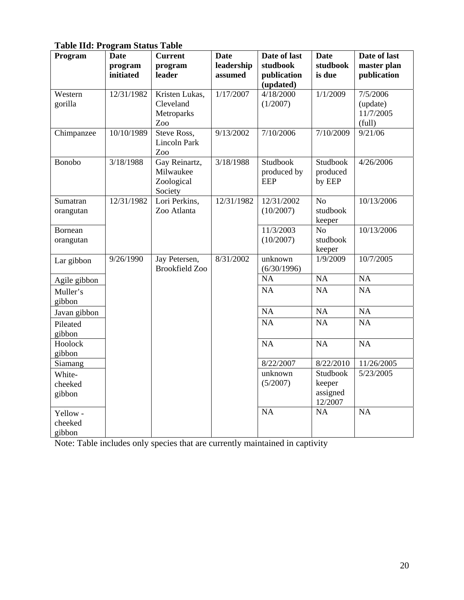**Table IId: Program Status Table** 

| Program                       | <b>Date</b>          | <b>Current</b>                                      | <b>Date</b>           | Date of last                          | <b>Date</b>                               | Date of last                    |
|-------------------------------|----------------------|-----------------------------------------------------|-----------------------|---------------------------------------|-------------------------------------------|---------------------------------|
|                               | program<br>initiated | program<br>leader                                   | leadership<br>assumed | studbook<br>publication<br>(updated)  | studbook<br>is due                        | master plan<br>publication      |
| Western                       | 12/31/1982           | Kristen Lukas,                                      | 1/17/2007             | 4/18/2000                             | 1/1/2009                                  | 7/5/2006                        |
| gorilla                       |                      | Cleveland<br>Metroparks<br>Zoo                      |                       | (1/2007)                              |                                           | (update)<br>11/7/2005<br>(full) |
| Chimpanzee                    | 10/10/1989           | Steve Ross,<br><b>Lincoln Park</b><br>Zoo           | 9/13/2002             | 7/10/2006                             | 7/10/2009                                 | 9/21/06                         |
| Bonobo                        | 3/18/1988            | Gay Reinartz,<br>Milwaukee<br>Zoological<br>Society | 3/18/1988             | Studbook<br>produced by<br><b>EEP</b> | Studbook<br>produced<br>by EEP            | 4/26/2006                       |
| Sumatran<br>orangutan         | 12/31/1982           | Lori Perkins,<br>Zoo Atlanta                        | 12/31/1982            | 12/31/2002<br>(10/2007)               | N <sub>o</sub><br>studbook<br>keeper      | 10/13/2006                      |
| Bornean<br>orangutan          |                      |                                                     |                       | 11/3/2003<br>(10/2007)                | N <sub>o</sub><br>studbook<br>keeper      | 10/13/2006                      |
| Lar gibbon                    | 9/26/1990            | Jay Petersen,<br><b>Brookfield Zoo</b>              | 8/31/2002             | unknown<br>(6/30/1996)                | 1/9/2009                                  | 10/7/2005                       |
| Agile gibbon                  |                      |                                                     |                       | NA                                    | NA                                        | NA                              |
| Muller's<br>gibbon            |                      |                                                     |                       | NA                                    | NA                                        | NA                              |
| Javan gibbon                  |                      |                                                     |                       | NA                                    | NA                                        | NA                              |
| Pileated<br>gibbon            |                      |                                                     |                       | NA                                    | <b>NA</b>                                 | NA                              |
| Hoolock<br>gibbon             |                      |                                                     |                       | NA                                    | NA                                        | NA                              |
| Siamang                       |                      |                                                     |                       | 8/22/2007                             | 8/22/2010                                 | 11/26/2005                      |
| White-<br>cheeked<br>gibbon   |                      |                                                     |                       | unknown<br>(5/2007)                   | Studbook<br>keeper<br>assigned<br>12/2007 | 5/23/2005                       |
| Yellow -<br>cheeked<br>gibbon |                      |                                                     |                       | <b>NA</b>                             | NA                                        | <b>NA</b>                       |

Note: Table includes only species that are currently maintained in captivity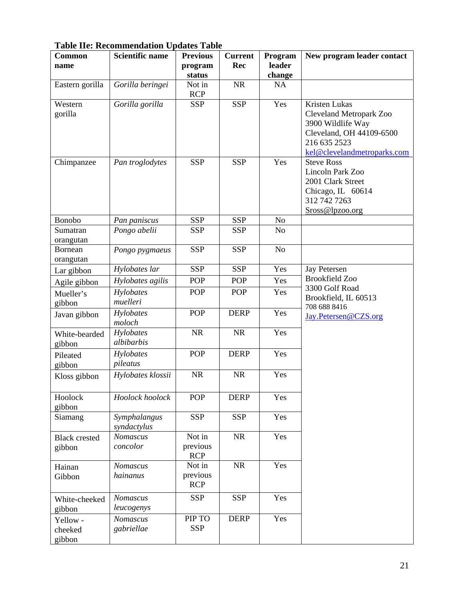| <b>Common</b>                  | <b>Scientific name</b>      | <b>Previous</b>                  | <b>Current</b> | Program          | New program leader contact                                                                                                                      |
|--------------------------------|-----------------------------|----------------------------------|----------------|------------------|-------------------------------------------------------------------------------------------------------------------------------------------------|
| name                           |                             | program<br>status                | Rec            | leader<br>change |                                                                                                                                                 |
| Eastern gorilla                | Gorilla beringei            | Not in<br><b>RCP</b>             | NR             | NA               |                                                                                                                                                 |
| Western<br>gorilla             | Gorilla gorilla             | <b>SSP</b>                       | <b>SSP</b>     | Yes              | <b>Kristen Lukas</b><br>Cleveland Metropark Zoo<br>3900 Wildlife Way<br>Cleveland, OH 44109-6500<br>216 635 2523<br>kel@clevelandmetroparks.com |
| Chimpanzee                     | Pan troglodytes             | <b>SSP</b>                       | <b>SSP</b>     | Yes              | <b>Steve Ross</b><br>Lincoln Park Zoo<br>2001 Clark Street<br>Chicago, IL 60614<br>312 742 7263<br>Sross@lpzoo.org                              |
| Bonobo                         | Pan paniscus                | <b>SSP</b>                       | <b>SSP</b>     | No               |                                                                                                                                                 |
| Sumatran<br>orangutan          | Pongo abelii                | <b>SSP</b>                       | <b>SSP</b>     | N <sub>o</sub>   |                                                                                                                                                 |
| Bornean<br>orangutan           | Pongo pygmaeus              | <b>SSP</b>                       | <b>SSP</b>     | No               |                                                                                                                                                 |
| Lar gibbon                     | Hylobates lar               | <b>SSP</b>                       | <b>SSP</b>     | Yes              | <b>Jay Petersen</b>                                                                                                                             |
| Agile gibbon                   | Hylobates agilis            | <b>POP</b>                       | <b>POP</b>     | Yes              | <b>Brookfield Zoo</b>                                                                                                                           |
| Mueller's                      | Hylobates                   | POP                              | <b>POP</b>     | Yes              | 3300 Golf Road                                                                                                                                  |
| gibbon                         | muelleri                    |                                  |                |                  | Brookfield, IL 60513                                                                                                                            |
| Javan gibbon                   | Hylobates<br>moloch         | <b>POP</b>                       | <b>DERP</b>    | Yes              | 708 688 8416<br>Jay.Petersen@CZS.org                                                                                                            |
| White-bearded<br>gibbon        | Hylobates<br>albibarbis     | NR                               | NR             | Yes              |                                                                                                                                                 |
| Pileated<br>gibbon             | Hylobates<br>pileatus       | POP                              | <b>DERP</b>    | Yes              |                                                                                                                                                 |
| Kloss gibbon                   | Hylobates klossii           | <b>NR</b>                        | NR             | Yes              |                                                                                                                                                 |
| Hoolock<br>gibbon              | Hoolock hoolock             | POP                              | <b>DERP</b>    | Yes              |                                                                                                                                                 |
| Siamang                        | Symphalangus<br>syndactylus | <b>SSP</b>                       | <b>SSP</b>     | Yes              |                                                                                                                                                 |
| <b>Black crested</b><br>gibbon | Nomascus<br>concolor        | Not in<br>previous<br><b>RCP</b> | NR             | Yes              |                                                                                                                                                 |
| Hainan<br>Gibbon               | Nomascus<br>hainanus        | Not in<br>previous<br><b>RCP</b> | <b>NR</b>      | Yes              |                                                                                                                                                 |
| White-cheeked<br>gibbon        | Nomascus<br>leucogenys      | <b>SSP</b>                       | <b>SSP</b>     | Yes              |                                                                                                                                                 |
| Yellow -<br>cheeked<br>gibbon  | Nomascus<br>gabriellae      | PIP TO<br><b>SSP</b>             | <b>DERP</b>    | Yes              |                                                                                                                                                 |

# **Table IIe: Recommendation Updates Table**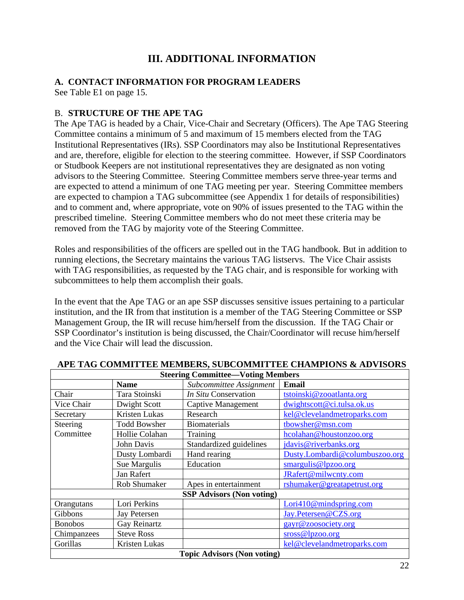# **III. ADDITIONAL INFORMATION**

### **A. CONTACT INFORMATION FOR PROGRAM LEADERS**

See Table E1 on page 15.

### B. **STRUCTURE OF THE APE TAG**

The Ape TAG is headed by a Chair, Vice-Chair and Secretary (Officers). The Ape TAG Steering Committee contains a minimum of 5 and maximum of 15 members elected from the TAG Institutional Representatives (IRs). SSP Coordinators may also be Institutional Representatives and are, therefore, eligible for election to the steering committee. However, if SSP Coordinators or Studbook Keepers are not institutional representatives they are designated as non voting advisors to the Steering Committee. Steering Committee members serve three-year terms and are expected to attend a minimum of one TAG meeting per year. Steering Committee members are expected to champion a TAG subcommittee (see Appendix 1 for details of responsibilities) and to comment and, where appropriate, vote on 90% of issues presented to the TAG within the prescribed timeline. Steering Committee members who do not meet these criteria may be removed from the TAG by majority vote of the Steering Committee.

Roles and responsibilities of the officers are spelled out in the TAG handbook. But in addition to running elections, the Secretary maintains the various TAG listservs. The Vice Chair assists with TAG responsibilities, as requested by the TAG chair, and is responsible for working with subcommittees to help them accomplish their goals.

In the event that the Ape TAG or an ape SSP discusses sensitive issues pertaining to a particular institution, and the IR from that institution is a member of the TAG Steering Committee or SSP Management Group, the IR will recuse him/herself from the discussion. If the TAG Chair or SSP Coordinator's institution is being discussed, the Chair/Coordinator will recuse him/herself and the Vice Chair will lead the discussion.

| <b>Steering Committee-Voting Members</b> |                                    |                                  |                                |  |  |  |
|------------------------------------------|------------------------------------|----------------------------------|--------------------------------|--|--|--|
|                                          | <b>Name</b>                        | Subcommittee Assignment          | <b>Email</b>                   |  |  |  |
| Chair                                    | Tara Stoinski                      | In Situ Conservation             | tstoinski@zooatlanta.org       |  |  |  |
| Vice Chair                               | Dwight Scott                       | <b>Captive Management</b>        | dwightscott@ci.tulsa.ok.us     |  |  |  |
| Secretary                                | Kristen Lukas                      | Research                         | kel@clevelandmetroparks.com    |  |  |  |
| Steering                                 | <b>Todd Bowsher</b>                | <b>Biomaterials</b>              | tbowsher@msn.com               |  |  |  |
| Committee                                | Hollie Colahan                     | Training                         | hcolahan@houstonzoo.org        |  |  |  |
|                                          | John Davis                         | Standardized guidelines          | jdavis@riverbanks.org          |  |  |  |
|                                          | Dusty Lombardi                     | Hand rearing                     | Dusty.Lombardi@columbuszoo.org |  |  |  |
|                                          | Sue Margulis                       | Education                        | smargulis@lpzoo.org            |  |  |  |
|                                          | Jan Rafert                         |                                  | JRafert@milwcnty.com           |  |  |  |
|                                          | Rob Shumaker                       | Apes in entertainment            | rshumaker@greatapetrust.org    |  |  |  |
|                                          |                                    | <b>SSP Advisors (Non voting)</b> |                                |  |  |  |
| Orangutans                               | Lori Perkins                       |                                  | Lori410@mindspring.com         |  |  |  |
| Gibbons                                  | Jay Petersen                       |                                  | Jay.Petersen@CZS.org           |  |  |  |
| <b>Bonobos</b>                           | Gay Reinartz                       |                                  | gayr@zoosociety.org            |  |  |  |
| Chimpanzees                              | <b>Steve Ross</b>                  |                                  | sross@lpzoo.org                |  |  |  |
| Gorillas                                 | Kristen Lukas                      |                                  | kel@clevelandmetroparks.com    |  |  |  |
|                                          | <b>Topic Advisors (Non voting)</b> |                                  |                                |  |  |  |

### **APE TAG COMMITTEE MEMBERS, SUBCOMMITTEE CHAMPIONS & ADVISORS**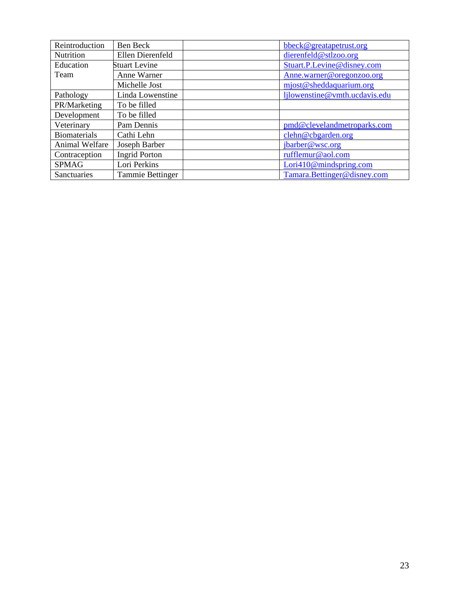| Reintroduction      | Ben Beck                | bbeck@greatapetrust.org       |
|---------------------|-------------------------|-------------------------------|
| Nutrition           | Ellen Dierenfeld        | dierenfeld@stlzoo.org         |
| Education           | <b>Stuart Levine</b>    | Stuart.P.Levine@disney.com    |
| Team                | Anne Warner             | Anne.warner@oregonzoo.org     |
|                     | Michelle Jost           | mjost@sheddaquarium.org       |
| Pathology           | Linda Lowenstine        | ljlowenstine@vmth.ucdavis.edu |
| PR/Marketing        | To be filled            |                               |
| Development         | To be filled            |                               |
| Veterinary          | Pam Dennis              | pmd@clevelandmetroparks.com   |
| <b>Biomaterials</b> | Cathi Lehn              | clehn@cbgarden.org            |
| Animal Welfare      | Joseph Barber           | jbarber@wsc.org               |
| Contraception       | <b>Ingrid Porton</b>    | rufflemur@aol.com             |
| <b>SPMAG</b>        | Lori Perkins            | Lori410@mindspring.com        |
| Sanctuaries         | <b>Tammie Bettinger</b> | Tamara.Bettinger@disney.com   |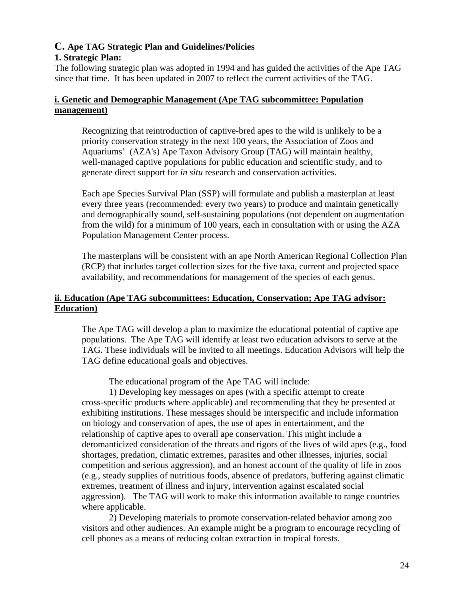# **C. Ape TAG Strategic Plan and Guidelines/Policies**

## **1. Strategic Plan:**

The following strategic plan was adopted in 1994 and has guided the activities of the Ape TAG since that time. It has been updated in 2007 to reflect the current activities of the TAG.

# **i. Genetic and Demographic Management (Ape TAG subcommittee: Population management)**

Recognizing that reintroduction of captive-bred apes to the wild is unlikely to be a priority conservation strategy in the next 100 years, the Association of Zoos and Aquariums' (AZA's) Ape Taxon Advisory Group (TAG) will maintain healthy, well-managed captive populations for public education and scientific study, and to generate direct support for *in situ* research and conservation activities.

Each ape Species Survival Plan (SSP) will formulate and publish a masterplan at least every three years (recommended: every two years) to produce and maintain genetically and demographically sound, self-sustaining populations (not dependent on augmentation from the wild) for a minimum of 100 years, each in consultation with or using the AZA Population Management Center process.

The masterplans will be consistent with an ape North American Regional Collection Plan (RCP) that includes target collection sizes for the five taxa, current and projected space availability, and recommendations for management of the species of each genus.

# **ii. Education (Ape TAG subcommittees: Education, Conservation; Ape TAG advisor: Education)**

The Ape TAG will develop a plan to maximize the educational potential of captive ape populations. The Ape TAG will identify at least two education advisors to serve at the TAG. These individuals will be invited to all meetings. Education Advisors will help the TAG define educational goals and objectives.

The educational program of the Ape TAG will include:

1) Developing key messages on apes (with a specific attempt to create cross-specific products where applicable) and recommending that they be presented at exhibiting institutions. These messages should be interspecific and include information on biology and conservation of apes, the use of apes in entertainment, and the relationship of captive apes to overall ape conservation. This might include a deromanticized consideration of the threats and rigors of the lives of wild apes (e.g., food shortages, predation, climatic extremes, parasites and other illnesses, injuries, social competition and serious aggression), and an honest account of the quality of life in zoos (e.g., steady supplies of nutritious foods, absence of predators, buffering against climatic extremes, treatment of illness and injury, intervention against escalated social aggression). The TAG will work to make this information available to range countries where applicable.

2) Developing materials to promote conservation-related behavior among zoo visitors and other audiences. An example might be a program to encourage recycling of cell phones as a means of reducing coltan extraction in tropical forests.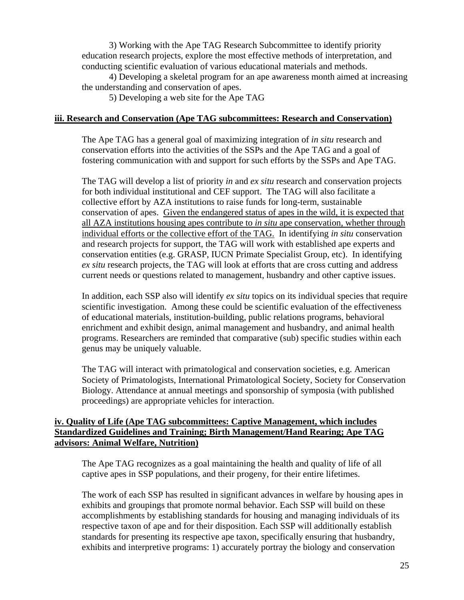3) Working with the Ape TAG Research Subcommittee to identify priority education research projects, explore the most effective methods of interpretation, and conducting scientific evaluation of various educational materials and methods.

4) Developing a skeletal program for an ape awareness month aimed at increasing the understanding and conservation of apes.

5) Developing a web site for the Ape TAG

### **iii. Research and Conservation (Ape TAG subcommittees: Research and Conservation)**

The Ape TAG has a general goal of maximizing integration of *in situ* research and conservation efforts into the activities of the SSPs and the Ape TAG and a goal of fostering communication with and support for such efforts by the SSPs and Ape TAG.

The TAG will develop a list of priority *in* and *ex situ* research and conservation projects for both individual institutional and CEF support. The TAG will also facilitate a collective effort by AZA institutions to raise funds for long-term, sustainable conservation of apes. Given the endangered status of apes in the wild, it is expected that all AZA institutions housing apes contribute to *in situ* ape conservation, whether through individual efforts or the collective effort of the TAG. In identifying *in situ* conservation and research projects for support, the TAG will work with established ape experts and conservation entities (e.g. GRASP, IUCN Primate Specialist Group, etc). In identifying *ex situ* research projects, the TAG will look at efforts that are cross cutting and address current needs or questions related to management, husbandry and other captive issues.

In addition, each SSP also will identify *ex situ* topics on its individual species that require scientific investigation. Among these could be scientific evaluation of the effectiveness of educational materials, institution-building, public relations programs, behavioral enrichment and exhibit design, animal management and husbandry, and animal health programs. Researchers are reminded that comparative (sub) specific studies within each genus may be uniquely valuable.

The TAG will interact with primatological and conservation societies, e.g. American Society of Primatologists, International Primatological Society, Society for Conservation Biology. Attendance at annual meetings and sponsorship of symposia (with published proceedings) are appropriate vehicles for interaction.

### **iv. Quality of Life (Ape TAG subcommittees: Captive Management, which includes Standardized Guidelines and Training; Birth Management/Hand Rearing; Ape TAG advisors: Animal Welfare, Nutrition)**

The Ape TAG recognizes as a goal maintaining the health and quality of life of all captive apes in SSP populations, and their progeny, for their entire lifetimes.

The work of each SSP has resulted in significant advances in welfare by housing apes in exhibits and groupings that promote normal behavior. Each SSP will build on these accomplishments by establishing standards for housing and managing individuals of its respective taxon of ape and for their disposition. Each SSP will additionally establish standards for presenting its respective ape taxon, specifically ensuring that husbandry, exhibits and interpretive programs: 1) accurately portray the biology and conservation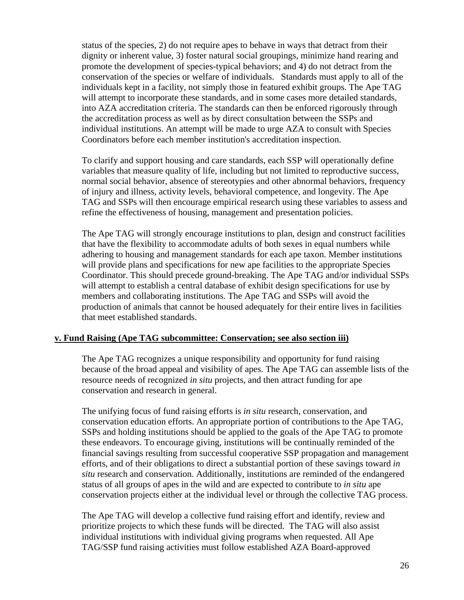status of the species, 2) do not require apes to behave in ways that detract from their dignity or inherent value, 3) foster natural social groupings, minimize hand rearing and promote the development of species-typical behaviors; and 4) do not detract from the conservation of the species or welfare of individuals. Standards must apply to all of the individuals kept in a facility, not simply those in featured exhibit groups. The Ape TAG will attempt to incorporate these standards, and in some cases more detailed standards, into AZA accreditation criteria. The standards can then be enforced rigorously through the accreditation process as well as by direct consultation between the SSPs and individual institutions. An attempt will be made to urge AZA to consult with Species Coordinators before each member institution's accreditation inspection.

To clarify and support housing and care standards, each SSP will operationally define variables that measure quality of life, including but not limited to reproductive success, normal social behavior, absence of stereotypies and other abnormal behaviors, frequency of injury and illness, activity levels, behavioral competence, and longevity. The Ape TAG and SSPs will then encourage empirical research using these variables to assess and refine the effectiveness of housing, management and presentation policies.

The Ape TAG will strongly encourage institutions to plan, design and construct facilities that have the flexibility to accommodate adults of both sexes in equal numbers while adhering to housing and management standards for each ape taxon. Member institutions will provide plans and specifications for new ape facilities to the appropriate Species Coordinator. This should precede ground-breaking. The Ape TAG and/or individual SSPs will attempt to establish a central database of exhibit design specifications for use by members and collaborating institutions. The Ape TAG and SSPs will avoid the production of animals that cannot be housed adequately for their entire lives in facilities that meet established standards.

### **v. Fund Raising (Ape TAG subcommittee: Conservation; see also section iii)**

The Ape TAG recognizes a unique responsibility and opportunity for fund raising because of the broad appeal and visibility of apes. The Ape TAG can assemble lists of the resource needs of recognized *in situ* projects, and then attract funding for ape conservation and research in general.

The unifying focus of fund raising efforts is *in situ* research, conservation, and conservation education efforts. An appropriate portion of contributions to the Ape TAG, SSPs and holding institutions should be applied to the goals of the Ape TAG to promote these endeavors. To encourage giving, institutions will be continually reminded of the financial savings resulting from successful cooperative SSP propagation and management efforts, and of their obligations to direct a substantial portion of these savings toward *in situ* research and conservation. Additionally, institutions are reminded of the endangered status of all groups of apes in the wild and are expected to contribute to *in situ* ape conservation projects either at the individual level or through the collective TAG process.

The Ape TAG will develop a collective fund raising effort and identify, review and prioritize projects to which these funds will be directed. The TAG will also assist individual institutions with individual giving programs when requested. All Ape TAG/SSP fund raising activities must follow established AZA Board-approved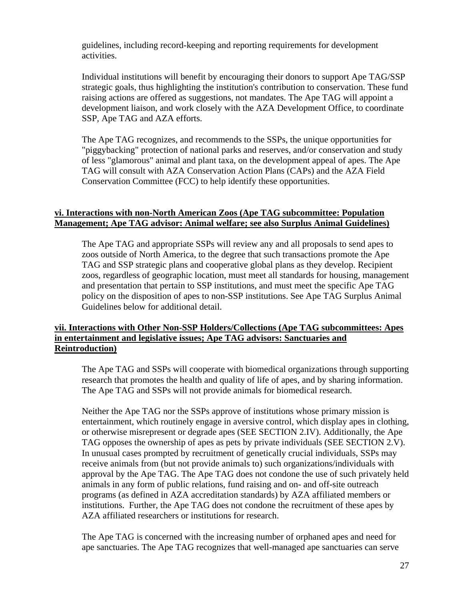guidelines, including record-keeping and reporting requirements for development activities.

Individual institutions will benefit by encouraging their donors to support Ape TAG/SSP strategic goals, thus highlighting the institution's contribution to conservation. These fund raising actions are offered as suggestions, not mandates. The Ape TAG will appoint a development liaison, and work closely with the AZA Development Office, to coordinate SSP, Ape TAG and AZA efforts.

The Ape TAG recognizes, and recommends to the SSPs, the unique opportunities for "piggybacking" protection of national parks and reserves, and/or conservation and study of less "glamorous" animal and plant taxa, on the development appeal of apes. The Ape TAG will consult with AZA Conservation Action Plans (CAPs) and the AZA Field Conservation Committee (FCC) to help identify these opportunities.

### **vi. Interactions with non-North American Zoos (Ape TAG subcommittee: Population Management; Ape TAG advisor: Animal welfare; see also Surplus Animal Guidelines)**

The Ape TAG and appropriate SSPs will review any and all proposals to send apes to zoos outside of North America, to the degree that such transactions promote the Ape TAG and SSP strategic plans and cooperative global plans as they develop. Recipient zoos, regardless of geographic location, must meet all standards for housing, management and presentation that pertain to SSP institutions, and must meet the specific Ape TAG policy on the disposition of apes to non-SSP institutions. See Ape TAG Surplus Animal Guidelines below for additional detail.

### **vii. Interactions with Other Non-SSP Holders/Collections (Ape TAG subcommittees: Apes in entertainment and legislative issues; Ape TAG advisors: Sanctuaries and Reintroduction)**

The Ape TAG and SSPs will cooperate with biomedical organizations through supporting research that promotes the health and quality of life of apes, and by sharing information. The Ape TAG and SSPs will not provide animals for biomedical research.

Neither the Ape TAG nor the SSPs approve of institutions whose primary mission is entertainment, which routinely engage in aversive control, which display apes in clothing, or otherwise misrepresent or degrade apes (SEE SECTION 2.IV). Additionally, the Ape TAG opposes the ownership of apes as pets by private individuals (SEE SECTION 2.V). In unusual cases prompted by recruitment of genetically crucial individuals, SSPs may receive animals from (but not provide animals to) such organizations/individuals with approval by the Ape TAG. The Ape TAG does not condone the use of such privately held animals in any form of public relations, fund raising and on- and off-site outreach programs (as defined in AZA accreditation standards) by AZA affiliated members or institutions. Further, the Ape TAG does not condone the recruitment of these apes by AZA affiliated researchers or institutions for research.

The Ape TAG is concerned with the increasing number of orphaned apes and need for ape sanctuaries. The Ape TAG recognizes that well-managed ape sanctuaries can serve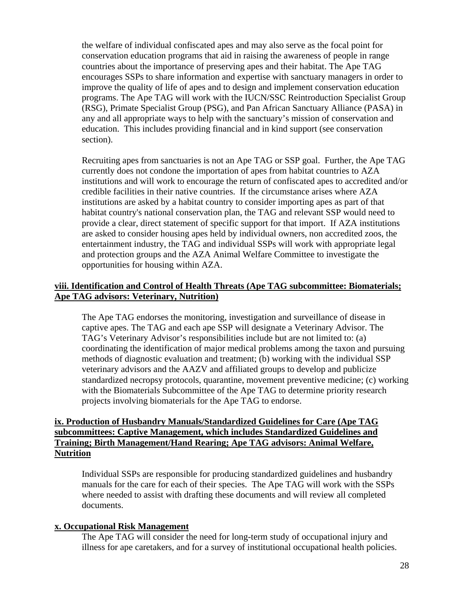the welfare of individual confiscated apes and may also serve as the focal point for conservation education programs that aid in raising the awareness of people in range countries about the importance of preserving apes and their habitat. The Ape TAG encourages SSPs to share information and expertise with sanctuary managers in order to improve the quality of life of apes and to design and implement conservation education programs. The Ape TAG will work with the IUCN/SSC Reintroduction Specialist Group (RSG), Primate Specialist Group (PSG), and Pan African Sanctuary Alliance (PASA) in any and all appropriate ways to help with the sanctuary's mission of conservation and education. This includes providing financial and in kind support (see conservation section).

Recruiting apes from sanctuaries is not an Ape TAG or SSP goal. Further, the Ape TAG currently does not condone the importation of apes from habitat countries to AZA institutions and will work to encourage the return of confiscated apes to accredited and/or credible facilities in their native countries. If the circumstance arises where AZA institutions are asked by a habitat country to consider importing apes as part of that habitat country's national conservation plan, the TAG and relevant SSP would need to provide a clear, direct statement of specific support for that import. If AZA institutions are asked to consider housing apes held by individual owners, non accredited zoos, the entertainment industry, the TAG and individual SSPs will work with appropriate legal and protection groups and the AZA Animal Welfare Committee to investigate the opportunities for housing within AZA.

### **viii. Identification and Control of Health Threats (Ape TAG subcommittee: Biomaterials; Ape TAG advisors: Veterinary, Nutrition)**

The Ape TAG endorses the monitoring, investigation and surveillance of disease in captive apes. The TAG and each ape SSP will designate a Veterinary Advisor. The TAG's Veterinary Advisor's responsibilities include but are not limited to: (a) coordinating the identification of major medical problems among the taxon and pursuing methods of diagnostic evaluation and treatment; (b) working with the individual SSP veterinary advisors and the AAZV and affiliated groups to develop and publicize standardized necropsy protocols, quarantine, movement preventive medicine; (c) working with the Biomaterials Subcommittee of the Ape TAG to determine priority research projects involving biomaterials for the Ape TAG to endorse.

### **ix. Production of Husbandry Manuals/Standardized Guidelines for Care (Ape TAG subcommittees: Captive Management, which includes Standardized Guidelines and Training; Birth Management/Hand Rearing; Ape TAG advisors: Animal Welfare, Nutrition**

Individual SSPs are responsible for producing standardized guidelines and husbandry manuals for the care for each of their species. The Ape TAG will work with the SSPs where needed to assist with drafting these documents and will review all completed documents.

### **x. Occupational Risk Management**

The Ape TAG will consider the need for long-term study of occupational injury and illness for ape caretakers, and for a survey of institutional occupational health policies.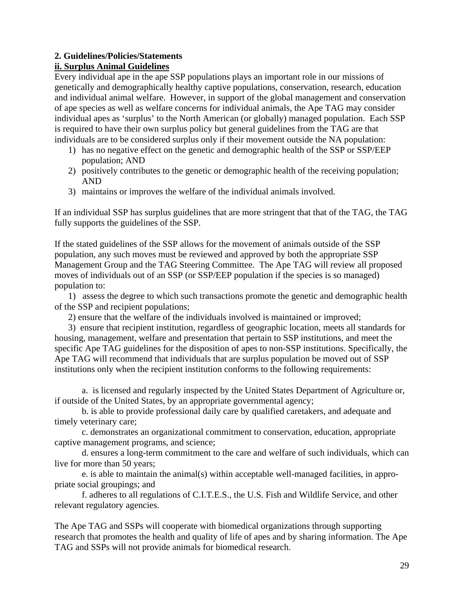# **2. Guidelines/Policies/Statements**

# **ii. Surplus Animal Guidelines**

Every individual ape in the ape SSP populations plays an important role in our missions of genetically and demographically healthy captive populations, conservation, research, education and individual animal welfare. However, in support of the global management and conservation of ape species as well as welfare concerns for individual animals, the Ape TAG may consider individual apes as 'surplus' to the North American (or globally) managed population. Each SSP is required to have their own surplus policy but general guidelines from the TAG are that individuals are to be considered surplus only if their movement outside the NA population:

- 1) has no negative effect on the genetic and demographic health of the SSP or SSP/EEP population; AND
- 2) positively contributes to the genetic or demographic health of the receiving population; AND
- 3) maintains or improves the welfare of the individual animals involved.

If an individual SSP has surplus guidelines that are more stringent that that of the TAG, the TAG fully supports the guidelines of the SSP.

If the stated guidelines of the SSP allows for the movement of animals outside of the SSP population, any such moves must be reviewed and approved by both the appropriate SSP Management Group and the TAG Steering Committee. The Ape TAG will review all proposed moves of individuals out of an SSP (or SSP/EEP population if the species is so managed) population to:

1) assess the degree to which such transactions promote the genetic and demographic health of the SSP and recipient populations;

2) ensure that the welfare of the individuals involved is maintained or improved;

3) ensure that recipient institution, regardless of geographic location, meets all standards for housing, management, welfare and presentation that pertain to SSP institutions, and meet the specific Ape TAG guidelines for the disposition of apes to non-SSP institutions. Specifically, the Ape TAG will recommend that individuals that are surplus population be moved out of SSP institutions only when the recipient institution conforms to the following requirements:

a. is licensed and regularly inspected by the United States Department of Agriculture or, if outside of the United States, by an appropriate governmental agency;

b. is able to provide professional daily care by qualified caretakers, and adequate and timely veterinary care;

c. demonstrates an organizational commitment to conservation, education, appropriate captive management programs, and science;

d. ensures a long-term commitment to the care and welfare of such individuals, which can live for more than 50 years;

e. is able to maintain the animal(s) within acceptable well-managed facilities, in appropriate social groupings; and

f. adheres to all regulations of C.I.T.E.S., the U.S. Fish and Wildlife Service, and other relevant regulatory agencies.

The Ape TAG and SSPs will cooperate with biomedical organizations through supporting research that promotes the health and quality of life of apes and by sharing information. The Ape TAG and SSPs will not provide animals for biomedical research.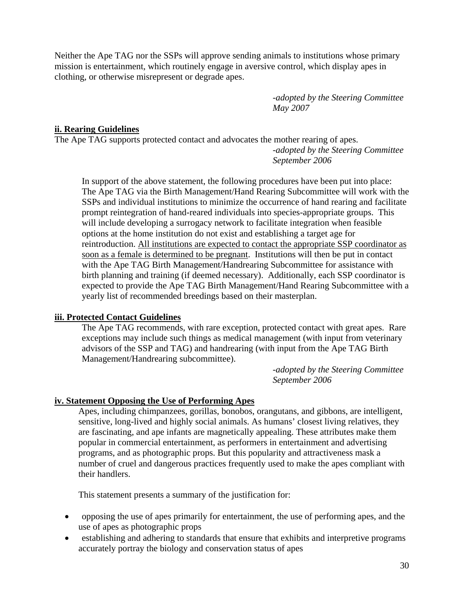Neither the Ape TAG nor the SSPs will approve sending animals to institutions whose primary mission is entertainment, which routinely engage in aversive control, which display apes in clothing, or otherwise misrepresent or degrade apes.

> *-adopted by the Steering Committee May 2007*

### **ii. Rearing Guidelines**

The Ape TAG supports protected contact and advocates the mother rearing of apes.

*-adopted by the Steering Committee September 2006* 

In support of the above statement, the following procedures have been put into place: The Ape TAG via the Birth Management/Hand Rearing Subcommittee will work with the SSPs and individual institutions to minimize the occurrence of hand rearing and facilitate prompt reintegration of hand-reared individuals into species-appropriate groups. This will include developing a surrogacy network to facilitate integration when feasible options at the home institution do not exist and establishing a target age for reintroduction. All institutions are expected to contact the appropriate SSP coordinator as soon as a female is determined to be pregnant. Institutions will then be put in contact with the Ape TAG Birth Management/Handrearing Subcommittee for assistance with birth planning and training (if deemed necessary). Additionally, each SSP coordinator is expected to provide the Ape TAG Birth Management/Hand Rearing Subcommittee with a yearly list of recommended breedings based on their masterplan.

### **iii. Protected Contact Guidelines**

The Ape TAG recommends, with rare exception, protected contact with great apes. Rare exceptions may include such things as medical management (with input from veterinary advisors of the SSP and TAG) and handrearing (with input from the Ape TAG Birth Management/Handrearing subcommittee).

> *-adopted by the Steering Committee September 2006*

## **iv. Statement Opposing the Use of Performing Apes**

Apes, including chimpanzees, gorillas, bonobos, orangutans, and gibbons, are intelligent, sensitive, long-lived and highly social animals. As humans' closest living relatives, they are fascinating, and ape infants are magnetically appealing. These attributes make them popular in commercial entertainment, as performers in entertainment and advertising programs, and as photographic props. But this popularity and attractiveness mask a number of cruel and dangerous practices frequently used to make the apes compliant with their handlers.

This statement presents a summary of the justification for:

- opposing the use of apes primarily for entertainment, the use of performing apes, and the use of apes as photographic props
- establishing and adhering to standards that ensure that exhibits and interpretive programs accurately portray the biology and conservation status of apes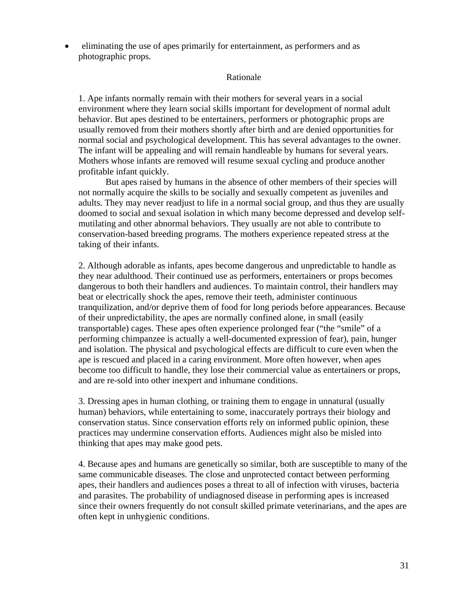• eliminating the use of apes primarily for entertainment, as performers and as photographic props.

#### Rationale

1. Ape infants normally remain with their mothers for several years in a social environment where they learn social skills important for development of normal adult behavior. But apes destined to be entertainers, performers or photographic props are usually removed from their mothers shortly after birth and are denied opportunities for normal social and psychological development. This has several advantages to the owner. The infant will be appealing and will remain handleable by humans for several years. Mothers whose infants are removed will resume sexual cycling and produce another profitable infant quickly.

But apes raised by humans in the absence of other members of their species will not normally acquire the skills to be socially and sexually competent as juveniles and adults. They may never readjust to life in a normal social group, and thus they are usually doomed to social and sexual isolation in which many become depressed and develop selfmutilating and other abnormal behaviors. They usually are not able to contribute to conservation-based breeding programs. The mothers experience repeated stress at the taking of their infants.

2. Although adorable as infants, apes become dangerous and unpredictable to handle as they near adulthood. Their continued use as performers, entertainers or props becomes dangerous to both their handlers and audiences. To maintain control, their handlers may beat or electrically shock the apes, remove their teeth, administer continuous tranquilization, and/or deprive them of food for long periods before appearances. Because of their unpredictability, the apes are normally confined alone, in small (easily transportable) cages. These apes often experience prolonged fear ("the "smile" of a performing chimpanzee is actually a well-documented expression of fear), pain, hunger and isolation. The physical and psychological effects are difficult to cure even when the ape is rescued and placed in a caring environment. More often however, when apes become too difficult to handle, they lose their commercial value as entertainers or props, and are re-sold into other inexpert and inhumane conditions.

3. Dressing apes in human clothing, or training them to engage in unnatural (usually human) behaviors, while entertaining to some, inaccurately portrays their biology and conservation status. Since conservation efforts rely on informed public opinion, these practices may undermine conservation efforts. Audiences might also be misled into thinking that apes may make good pets.

4. Because apes and humans are genetically so similar, both are susceptible to many of the same communicable diseases. The close and unprotected contact between performing apes, their handlers and audiences poses a threat to all of infection with viruses, bacteria and parasites. The probability of undiagnosed disease in performing apes is increased since their owners frequently do not consult skilled primate veterinarians, and the apes are often kept in unhygienic conditions.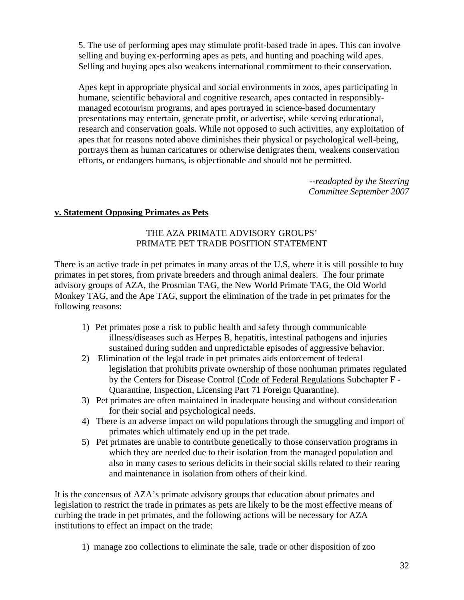5. The use of performing apes may stimulate profit-based trade in apes. This can involve selling and buying ex-performing apes as pets, and hunting and poaching wild apes. Selling and buying apes also weakens international commitment to their conservation.

Apes kept in appropriate physical and social environments in zoos, apes participating in humane, scientific behavioral and cognitive research, apes contacted in responsiblymanaged ecotourism programs, and apes portrayed in science-based documentary presentations may entertain, generate profit, or advertise, while serving educational, research and conservation goals. While not opposed to such activities, any exploitation of apes that for reasons noted above diminishes their physical or psychological well-being, portrays them as human caricatures or otherwise denigrates them, weakens conservation efforts, or endangers humans, is objectionable and should not be permitted.

> *--readopted by the Steering Committee September 2007*

## **v. Statement Opposing Primates as Pets**

### THE AZA PRIMATE ADVISORY GROUPS' PRIMATE PET TRADE POSITION STATEMENT

There is an active trade in pet primates in many areas of the U.S, where it is still possible to buy primates in pet stores, from private breeders and through animal dealers. The four primate advisory groups of AZA, the Prosmian TAG, the New World Primate TAG, the Old World Monkey TAG, and the Ape TAG, support the elimination of the trade in pet primates for the following reasons:

- 1) Pet primates pose a risk to public health and safety through communicable illness/diseases such as Herpes B, hepatitis, intestinal pathogens and injuries sustained during sudden and unpredictable episodes of aggressive behavior.
- 2) Elimination of the legal trade in pet primates aids enforcement of federal legislation that prohibits private ownership of those nonhuman primates regulated by the Centers for Disease Control (Code of Federal Regulations Subchapter F - Quarantine, Inspection, Licensing Part 71 Foreign Quarantine).
- 3) Pet primates are often maintained in inadequate housing and without consideration for their social and psychological needs.
- 4) There is an adverse impact on wild populations through the smuggling and import of primates which ultimately end up in the pet trade.
- 5) Pet primates are unable to contribute genetically to those conservation programs in which they are needed due to their isolation from the managed population and also in many cases to serious deficits in their social skills related to their rearing and maintenance in isolation from others of their kind.

It is the concensus of AZA's primate advisory groups that education about primates and legislation to restrict the trade in primates as pets are likely to be the most effective means of curbing the trade in pet primates, and the following actions will be necessary for AZA institutions to effect an impact on the trade:

1) manage zoo collections to eliminate the sale, trade or other disposition of zoo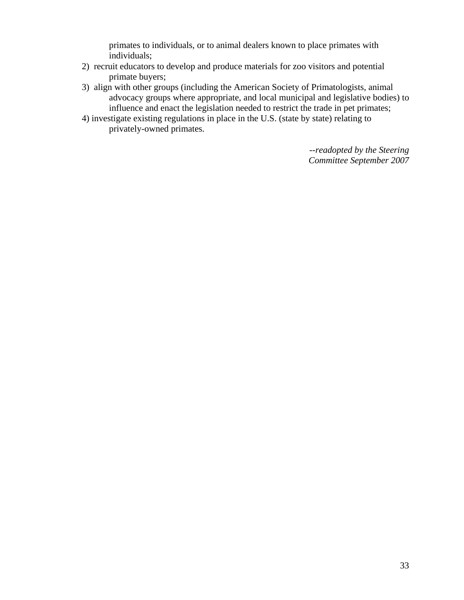primates to individuals, or to animal dealers known to place primates with individuals;

- 2) recruit educators to develop and produce materials for zoo visitors and potential primate buyers;
- 3) align with other groups (including the American Society of Primatologists, animal advocacy groups where appropriate, and local municipal and legislative bodies) to influence and enact the legislation needed to restrict the trade in pet primates;
- 4) investigate existing regulations in place in the U.S. (state by state) relating to privately-owned primates.

*--readopted by the Steering Committee September 2007*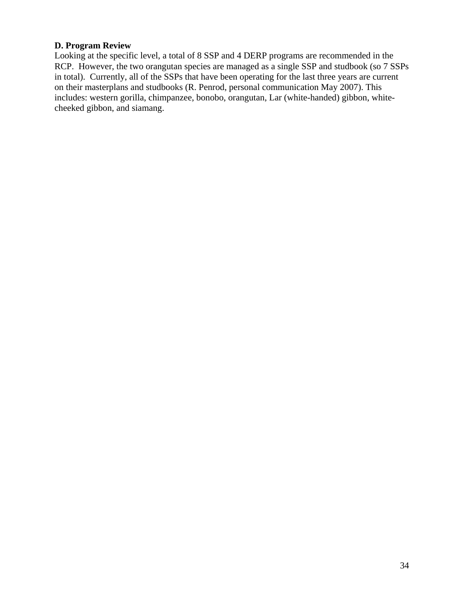### **D. Program Review**

Looking at the specific level, a total of 8 SSP and 4 DERP programs are recommended in the RCP. However, the two orangutan species are managed as a single SSP and studbook (so 7 SSPs in total). Currently, all of the SSPs that have been operating for the last three years are current on their masterplans and studbooks (R. Penrod, personal communication May 2007). This includes: western gorilla, chimpanzee, bonobo, orangutan, Lar (white-handed) gibbon, whitecheeked gibbon, and siamang.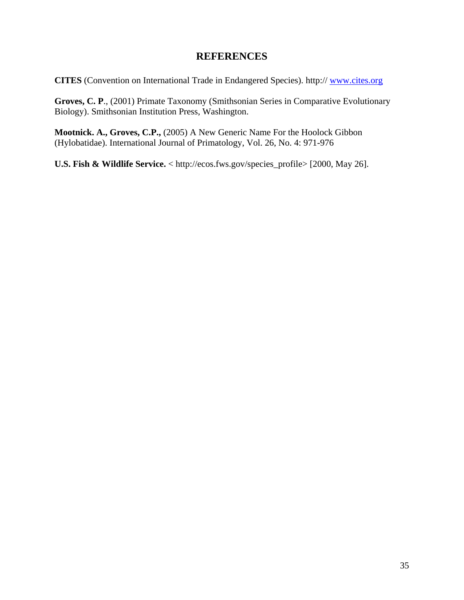# **REFERENCES**

**CITES** (Convention on International Trade in Endangered Species). http:// www.cites.org

**Groves, C. P**., (2001) Primate Taxonomy (Smithsonian Series in Comparative Evolutionary Biology). Smithsonian Institution Press, Washington.

**Mootnick. A., Groves, C.P.,** (2005) A New Generic Name For the Hoolock Gibbon (Hylobatidae). International Journal of Primatology, Vol. 26, No. 4: 971-976

**U.S. Fish & Wildlife Service.** < http://ecos.fws.gov/species\_profile> [2000, May 26].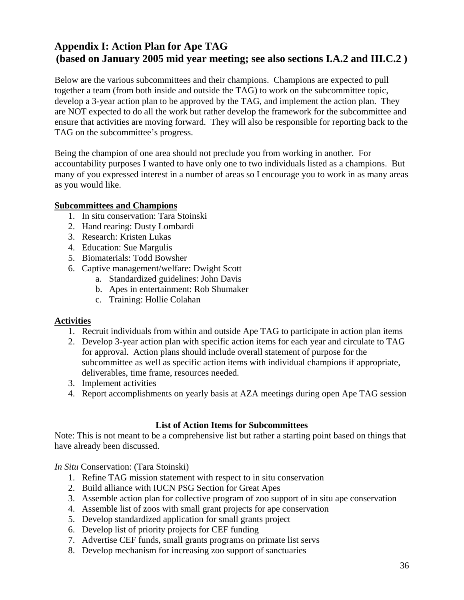# **Appendix I: Action Plan for Ape TAG (based on January 2005 mid year meeting; see also sections I.A.2 and III.C.2 )**

Below are the various subcommittees and their champions. Champions are expected to pull together a team (from both inside and outside the TAG) to work on the subcommittee topic, develop a 3-year action plan to be approved by the TAG, and implement the action plan. They are NOT expected to do all the work but rather develop the framework for the subcommittee and ensure that activities are moving forward. They will also be responsible for reporting back to the TAG on the subcommittee's progress.

Being the champion of one area should not preclude you from working in another. For accountability purposes I wanted to have only one to two individuals listed as a champions. But many of you expressed interest in a number of areas so I encourage you to work in as many areas as you would like.

### **Subcommittees and Champions**

- 1. In situ conservation: Tara Stoinski
- 2. Hand rearing: Dusty Lombardi
- 3. Research: Kristen Lukas
- 4. Education: Sue Margulis
- 5. Biomaterials: Todd Bowsher
- 6. Captive management/welfare: Dwight Scott
	- a. Standardized guidelines: John Davis
	- b. Apes in entertainment: Rob Shumaker
	- c. Training: Hollie Colahan

### **Activities**

- 1. Recruit individuals from within and outside Ape TAG to participate in action plan items
- 2. Develop 3-year action plan with specific action items for each year and circulate to TAG for approval. Action plans should include overall statement of purpose for the subcommittee as well as specific action items with individual champions if appropriate, deliverables, time frame, resources needed.
- 3. Implement activities
- 4. Report accomplishments on yearly basis at AZA meetings during open Ape TAG session

### **List of Action Items for Subcommittees**

Note: This is not meant to be a comprehensive list but rather a starting point based on things that have already been discussed.

*In Situ* Conservation: (Tara Stoinski)

- 1. Refine TAG mission statement with respect to in situ conservation
- 2. Build alliance with IUCN PSG Section for Great Apes
- 3. Assemble action plan for collective program of zoo support of in situ ape conservation
- 4. Assemble list of zoos with small grant projects for ape conservation
- 5. Develop standardized application for small grants project
- 6. Develop list of priority projects for CEF funding
- 7. Advertise CEF funds, small grants programs on primate list servs
- 8. Develop mechanism for increasing zoo support of sanctuaries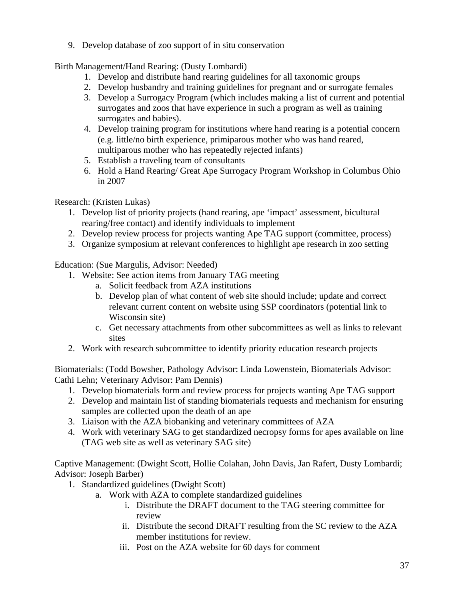9. Develop database of zoo support of in situ conservation

Birth Management/Hand Rearing: (Dusty Lombardi)

- 1. Develop and distribute hand rearing guidelines for all taxonomic groups
- 2. Develop husbandry and training guidelines for pregnant and or surrogate females
- 3. Develop a Surrogacy Program (which includes making a list of current and potential surrogates and zoos that have experience in such a program as well as training surrogates and babies).
- 4. Develop training program for institutions where hand rearing is a potential concern (e.g. little/no birth experience, primiparous mother who was hand reared, multiparous mother who has repeatedly rejected infants)
- 5. Establish a traveling team of consultants
- 6. Hold a Hand Rearing/ Great Ape Surrogacy Program Workshop in Columbus Ohio in 2007

Research: (Kristen Lukas)

- 1. Develop list of priority projects (hand rearing, ape 'impact' assessment, bicultural rearing/free contact) and identify individuals to implement
- 2. Develop review process for projects wanting Ape TAG support (committee, process)
- 3. Organize symposium at relevant conferences to highlight ape research in zoo setting

Education: (Sue Margulis, Advisor: Needed)

- 1. Website: See action items from January TAG meeting
	- a. Solicit feedback from AZA institutions
	- b. Develop plan of what content of web site should include; update and correct relevant current content on website using SSP coordinators (potential link to Wisconsin site)
	- c. Get necessary attachments from other subcommittees as well as links to relevant sites
- 2. Work with research subcommittee to identify priority education research projects

Biomaterials: (Todd Bowsher, Pathology Advisor: Linda Lowenstein, Biomaterials Advisor: Cathi Lehn; Veterinary Advisor: Pam Dennis)

- 1. Develop biomaterials form and review process for projects wanting Ape TAG support
- 2. Develop and maintain list of standing biomaterials requests and mechanism for ensuring samples are collected upon the death of an ape
- 3. Liaison with the AZA biobanking and veterinary committees of AZA
- 4. Work with veterinary SAG to get standardized necropsy forms for apes available on line (TAG web site as well as veterinary SAG site)

Captive Management: (Dwight Scott, Hollie Colahan, John Davis, Jan Rafert, Dusty Lombardi; Advisor: Joseph Barber)

- 1. Standardized guidelines (Dwight Scott)
	- a. Work with AZA to complete standardized guidelines
		- i. Distribute the DRAFT document to the TAG steering committee for review
		- ii. Distribute the second DRAFT resulting from the SC review to the AZA member institutions for review.
		- iii. Post on the AZA website for 60 days for comment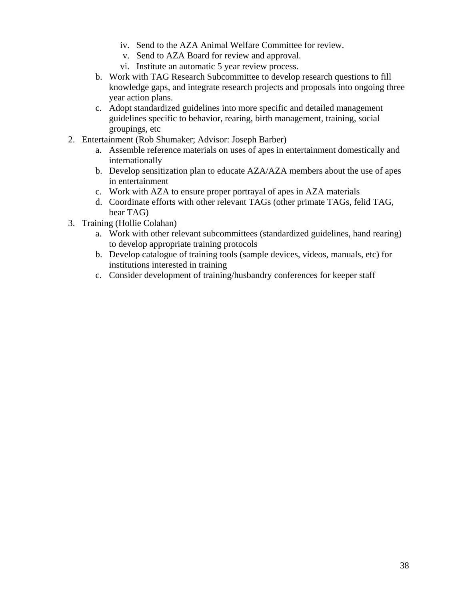- iv. Send to the AZA Animal Welfare Committee for review.
- v. Send to AZA Board for review and approval.
- vi. Institute an automatic 5 year review process.
- b. Work with TAG Research Subcommittee to develop research questions to fill knowledge gaps, and integrate research projects and proposals into ongoing three year action plans.
- c. Adopt standardized guidelines into more specific and detailed management guidelines specific to behavior, rearing, birth management, training, social groupings, etc
- 2. Entertainment (Rob Shumaker; Advisor: Joseph Barber)
	- a. Assemble reference materials on uses of apes in entertainment domestically and internationally
	- b. Develop sensitization plan to educate AZA/AZA members about the use of apes in entertainment
	- c. Work with AZA to ensure proper portrayal of apes in AZA materials
	- d. Coordinate efforts with other relevant TAGs (other primate TAGs, felid TAG, bear TAG)
- 3. Training (Hollie Colahan)
	- a. Work with other relevant subcommittees (standardized guidelines, hand rearing) to develop appropriate training protocols
	- b. Develop catalogue of training tools (sample devices, videos, manuals, etc) for institutions interested in training
	- c. Consider development of training/husbandry conferences for keeper staff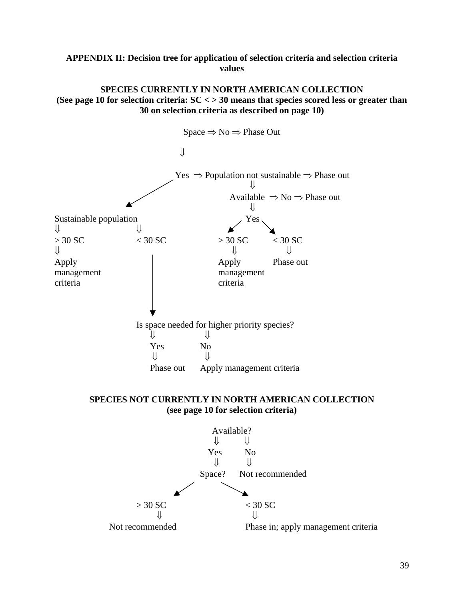## **APPENDIX II: Decision tree for application of selection criteria and selection criteria values**

### **SPECIES CURRENTLY IN NORTH AMERICAN COLLECTION (See page 10 for selection criteria: SC < > 30 means that species scored less or greater than 30 on selection criteria as described on page 10)**



### **SPECIES NOT CURRENTLY IN NORTH AMERICAN COLLECTION (see page 10 for selection criteria)**

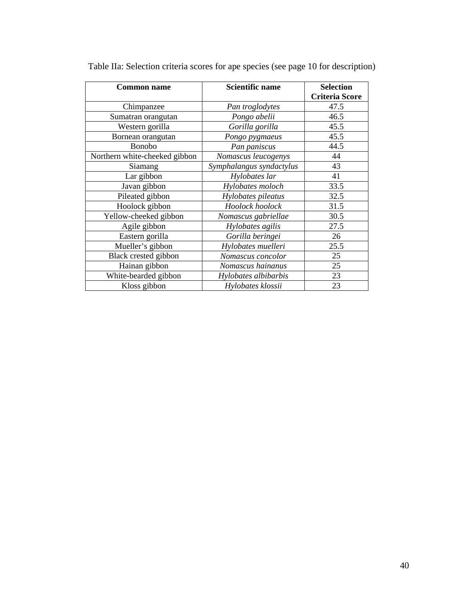| <b>Common name</b>            | <b>Scientific name</b>   | <b>Selection</b>      |  |  |  |
|-------------------------------|--------------------------|-----------------------|--|--|--|
|                               |                          | <b>Criteria Score</b> |  |  |  |
| Chimpanzee                    | Pan troglodytes          | 47.5                  |  |  |  |
| Sumatran orangutan            | Pongo abelii             | 46.5                  |  |  |  |
| Western gorilla               | Gorilla gorilla          | 45.5                  |  |  |  |
| Bornean orangutan             | Pongo pygmaeus           | 45.5                  |  |  |  |
| Bonobo                        | Pan paniscus             | 44.5                  |  |  |  |
| Northern white-cheeked gibbon | Nomascus leucogenys      | 44                    |  |  |  |
| Siamang                       | Symphalangus syndactylus | 43                    |  |  |  |
| Lar gibbon                    | Hylobates lar            | 41                    |  |  |  |
| Javan gibbon                  | Hylobates moloch         | 33.5                  |  |  |  |
| Pileated gibbon               | Hylobates pileatus       | 32.5                  |  |  |  |
| Hoolock gibbon                | Hoolock hoolock          | 31.5                  |  |  |  |
| Yellow-cheeked gibbon         | Nomascus gabriellae      | 30.5                  |  |  |  |
| Agile gibbon                  | Hylobates agilis         | 27.5                  |  |  |  |
| Eastern gorilla               | Gorilla beringei         | 26                    |  |  |  |
| Mueller's gibbon              | Hylobates muelleri       | 25.5                  |  |  |  |
| Black crested gibbon          | Nomascus concolor        | 25                    |  |  |  |
| Hainan gibbon                 | Nomascus hainanus        | 25                    |  |  |  |
| White-bearded gibbon          | Hylobates albibarbis     | 23                    |  |  |  |
| Kloss gibbon                  | Hylobates klossii        | 23                    |  |  |  |

Table IIa: Selection criteria scores for ape species (see page 10 for description)